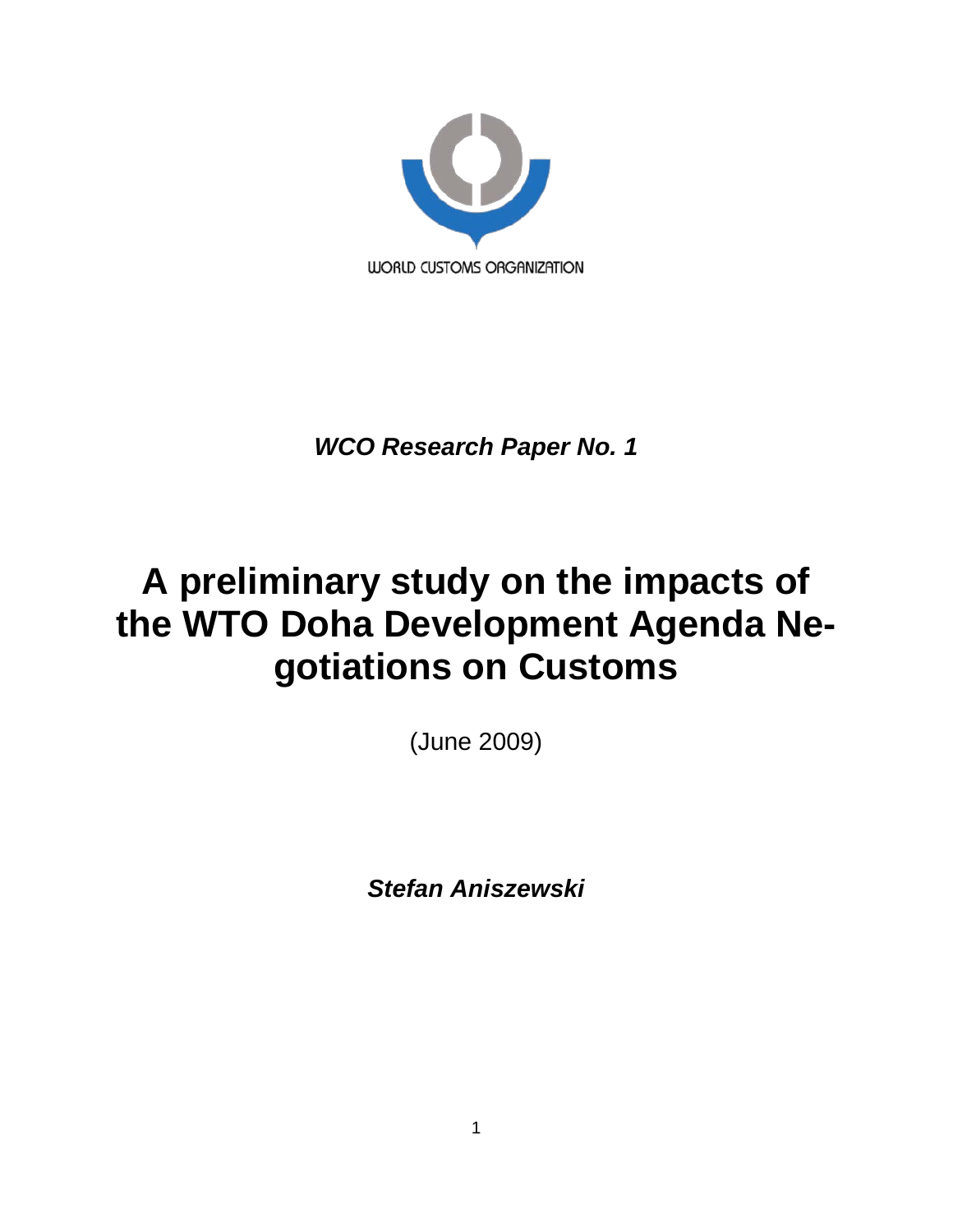

*WCO Research Paper No. 1*

# **A preliminary study on the impacts of the WTO Doha Development Agenda Negotiations on Customs**

(June 2009)

*Stefan Aniszewski*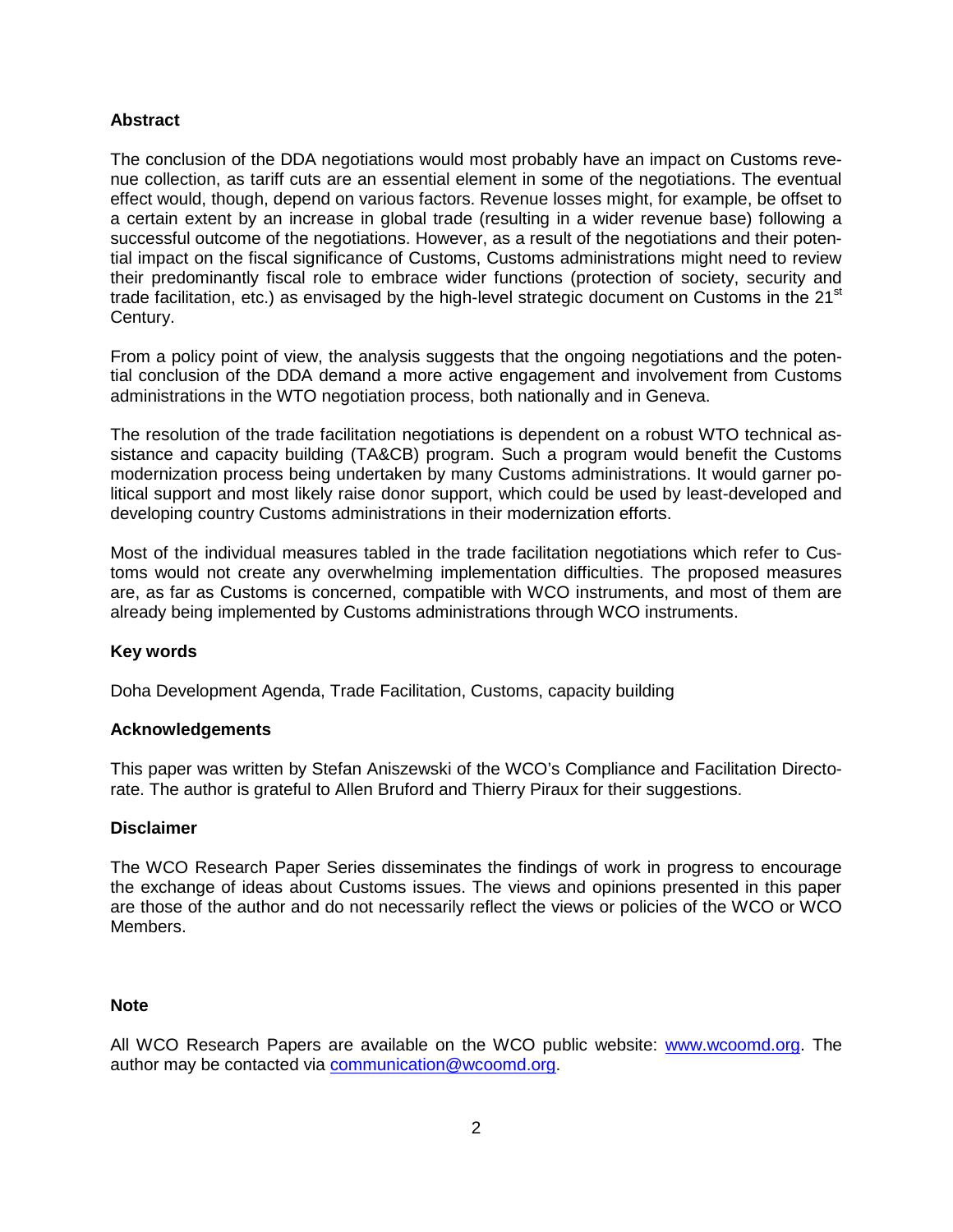## **Abstract**

The conclusion of the DDA negotiations would most probably have an impact on Customs revenue collection, as tariff cuts are an essential element in some of the negotiations. The eventual effect would, though, depend on various factors. Revenue losses might, for example, be offset to a certain extent by an increase in global trade (resulting in a wider revenue base) following a successful outcome of the negotiations. However, as a result of the negotiations and their potential impact on the fiscal significance of Customs, Customs administrations might need to review their predominantly fiscal role to embrace wider functions (protection of society, security and trade facilitation, etc.) as envisaged by the high-level strategic document on Customs in the  $21<sup>st</sup>$ Century.

From a policy point of view, the analysis suggests that the ongoing negotiations and the potential conclusion of the DDA demand a more active engagement and involvement from Customs administrations in the WTO negotiation process, both nationally and in Geneva.

The resolution of the trade facilitation negotiations is dependent on a robust WTO technical assistance and capacity building (TA&CB) program. Such a program would benefit the Customs modernization process being undertaken by many Customs administrations. It would garner political support and most likely raise donor support, which could be used by least-developed and developing country Customs administrations in their modernization efforts.

Most of the individual measures tabled in the trade facilitation negotiations which refer to Customs would not create any overwhelming implementation difficulties. The proposed measures are, as far as Customs is concerned, compatible with WCO instruments, and most of them are already being implemented by Customs administrations through WCO instruments.

## **Key words**

Doha Development Agenda, Trade Facilitation, Customs, capacity building

## **Acknowledgements**

This paper was written by Stefan Aniszewski of the WCO's Compliance and Facilitation Directorate. The author is grateful to Allen Bruford and Thierry Piraux for their suggestions.

#### **Disclaimer**

The WCO Research Paper Series disseminates the findings of work in progress to encourage the exchange of ideas about Customs issues. The views and opinions presented in this paper are those of the author and do not necessarily reflect the views or policies of the WCO or WCO Members.

#### **Note**

All WCO Research Papers are available on the WCO public website: [www.wcoomd.org.](http://www.wcoomd.org/) The author may be contacted via [communication@wcoomd.org.](mailto:communication@wcoomd.org)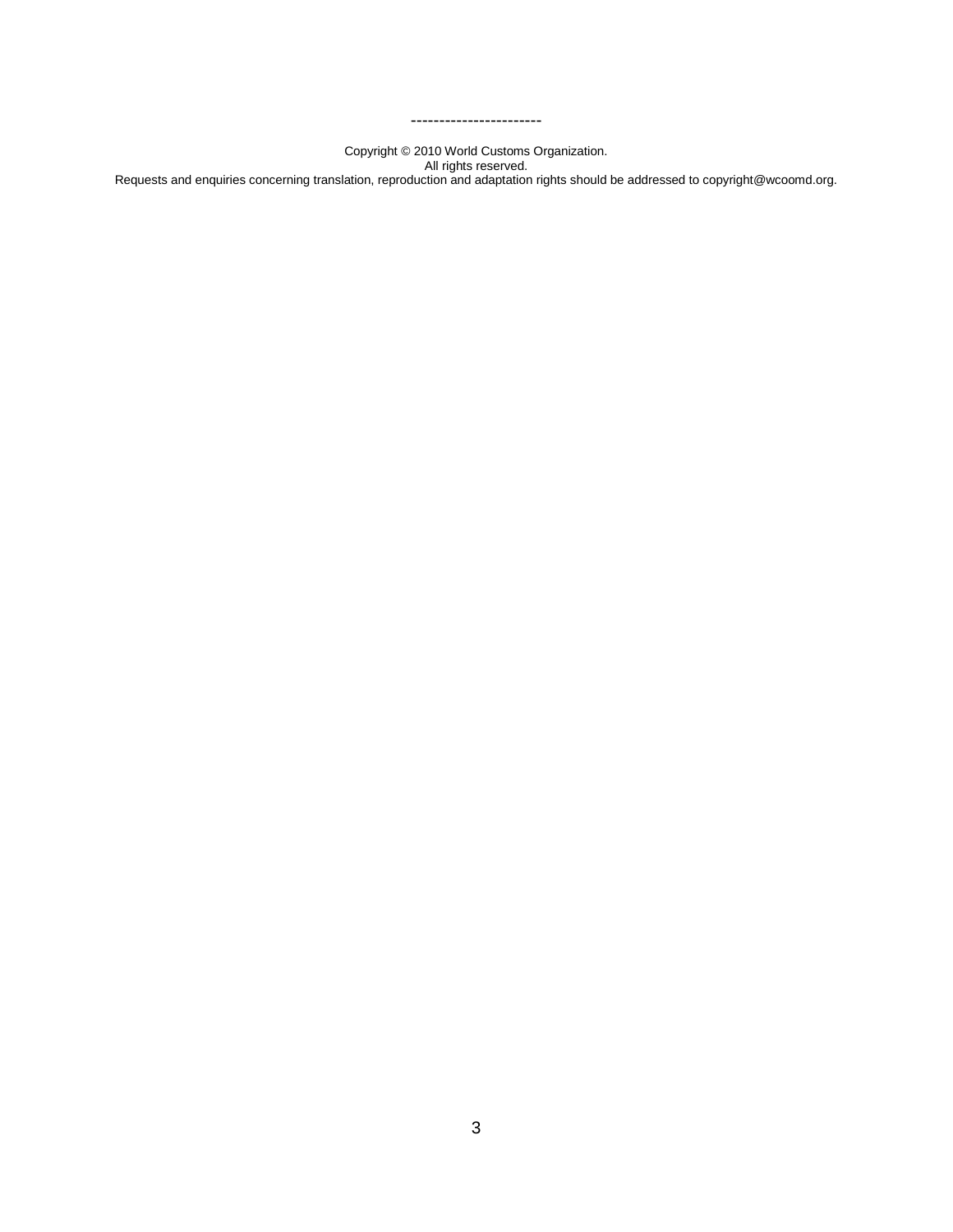Copyright © 2010 World Customs Organization. All rights reserved. Requests and enquiries concerning translation, reproduction and adaptation rights should be addressed to copyright@wcoomd.org.

-----------------------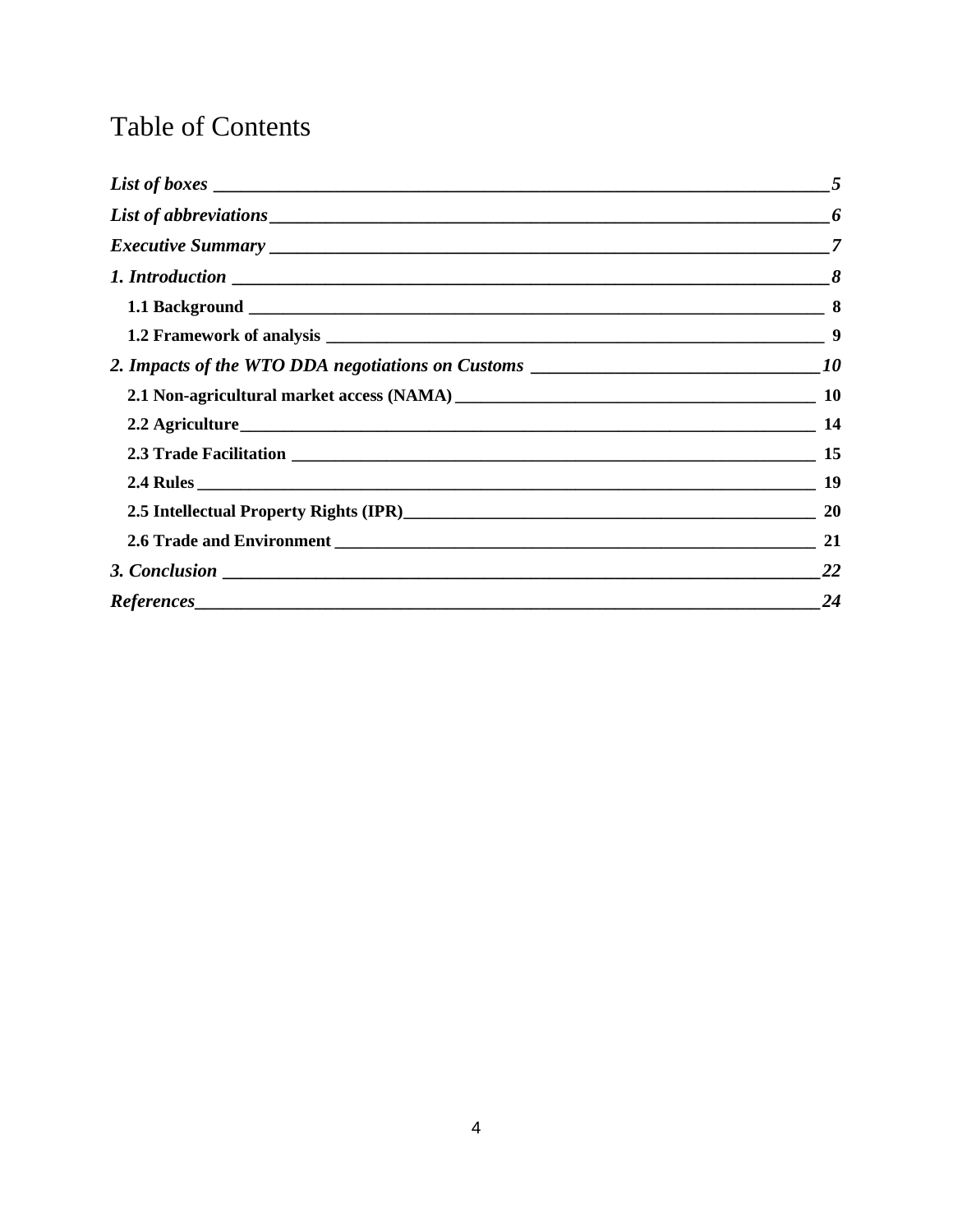## **Table of Contents**

| 8         |
|-----------|
|           |
| 9         |
|           |
| -10       |
|           |
|           |
|           |
|           |
|           |
| <b>22</b> |
| 24        |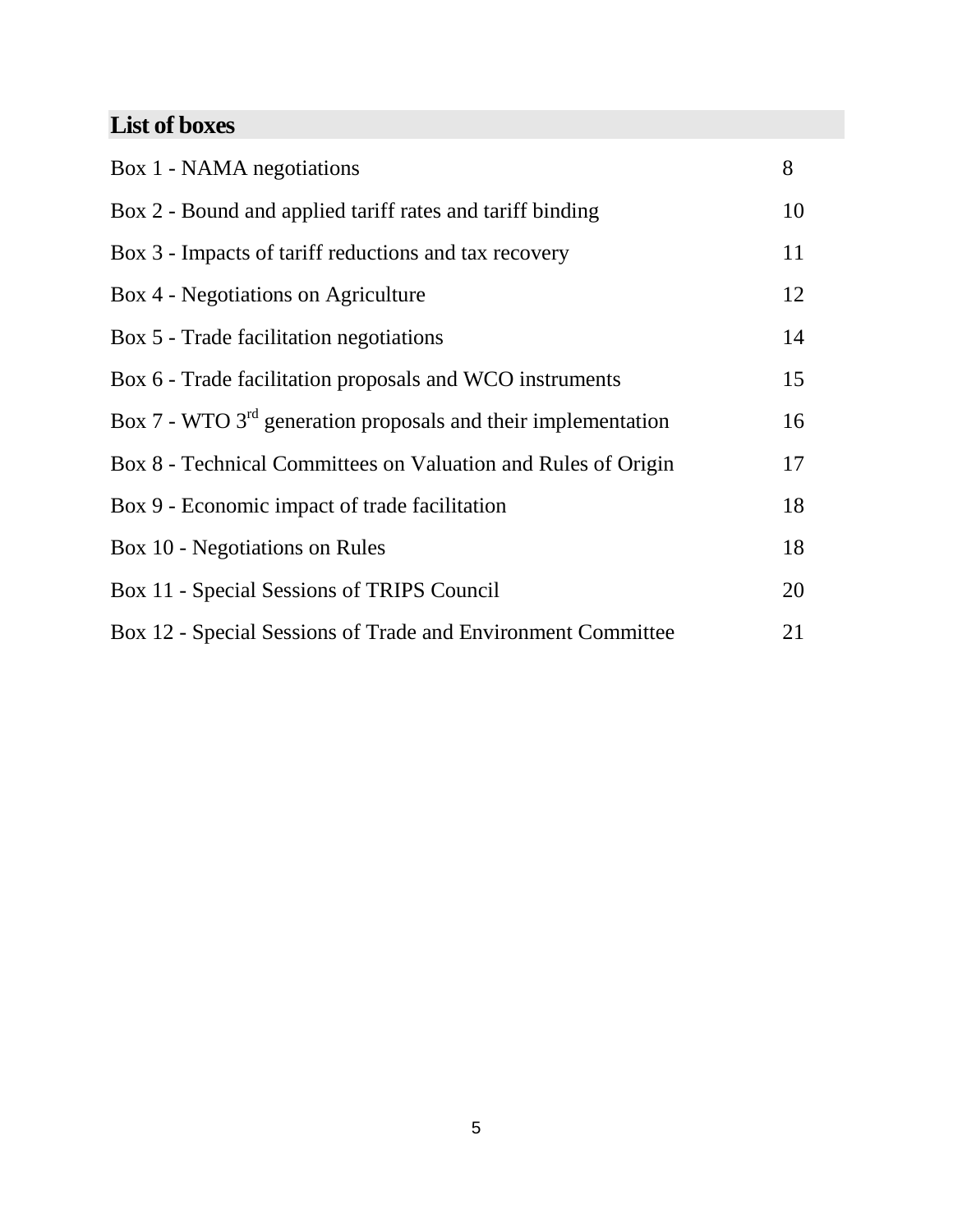## <span id="page-4-0"></span>**List of boxes**

| Box 1 - NAMA negotiations                                       | 8  |
|-----------------------------------------------------------------|----|
| Box 2 - Bound and applied tariff rates and tariff binding       | 10 |
| Box 3 - Impacts of tariff reductions and tax recovery           | 11 |
| Box 4 - Negotiations on Agriculture                             | 12 |
| Box 5 - Trade facilitation negotiations                         | 14 |
| Box 6 - Trade facilitation proposals and WCO instruments        | 15 |
| Box 7 - WTO $3rd$ generation proposals and their implementation | 16 |
| Box 8 - Technical Committees on Valuation and Rules of Origin   | 17 |
| Box 9 - Economic impact of trade facilitation                   | 18 |
| Box 10 - Negotiations on Rules                                  | 18 |
| Box 11 - Special Sessions of TRIPS Council                      | 20 |
| Box 12 - Special Sessions of Trade and Environment Committee    | 21 |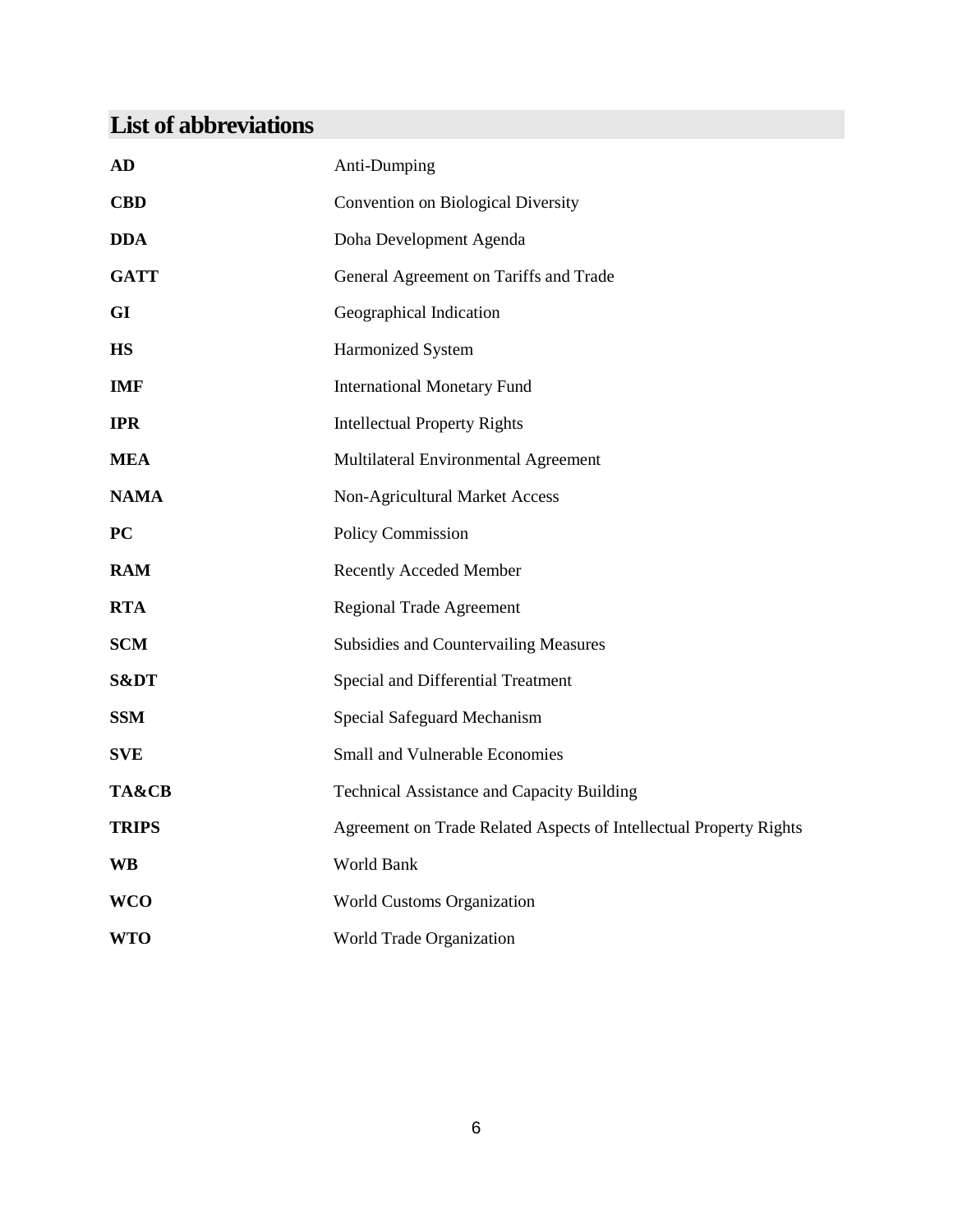## <span id="page-5-0"></span>**List of abbreviations**

| <b>AD</b>    | Anti-Dumping                                                       |
|--------------|--------------------------------------------------------------------|
| <b>CBD</b>   | <b>Convention on Biological Diversity</b>                          |
| <b>DDA</b>   | Doha Development Agenda                                            |
| <b>GATT</b>  | General Agreement on Tariffs and Trade                             |
| GI           | Geographical Indication                                            |
| <b>HS</b>    | Harmonized System                                                  |
| <b>IMF</b>   | <b>International Monetary Fund</b>                                 |
| <b>IPR</b>   | <b>Intellectual Property Rights</b>                                |
| <b>MEA</b>   | Multilateral Environmental Agreement                               |
| <b>NAMA</b>  | Non-Agricultural Market Access                                     |
| PC           | Policy Commission                                                  |
| <b>RAM</b>   | <b>Recently Acceded Member</b>                                     |
| <b>RTA</b>   | <b>Regional Trade Agreement</b>                                    |
| <b>SCM</b>   | <b>Subsidies and Countervailing Measures</b>                       |
| S&DT         | Special and Differential Treatment                                 |
| <b>SSM</b>   | Special Safeguard Mechanism                                        |
| <b>SVE</b>   | <b>Small and Vulnerable Economies</b>                              |
| TA&CB        | Technical Assistance and Capacity Building                         |
| <b>TRIPS</b> | Agreement on Trade Related Aspects of Intellectual Property Rights |
| <b>WB</b>    | World Bank                                                         |
| <b>WCO</b>   | World Customs Organization                                         |
| <b>WTO</b>   | World Trade Organization                                           |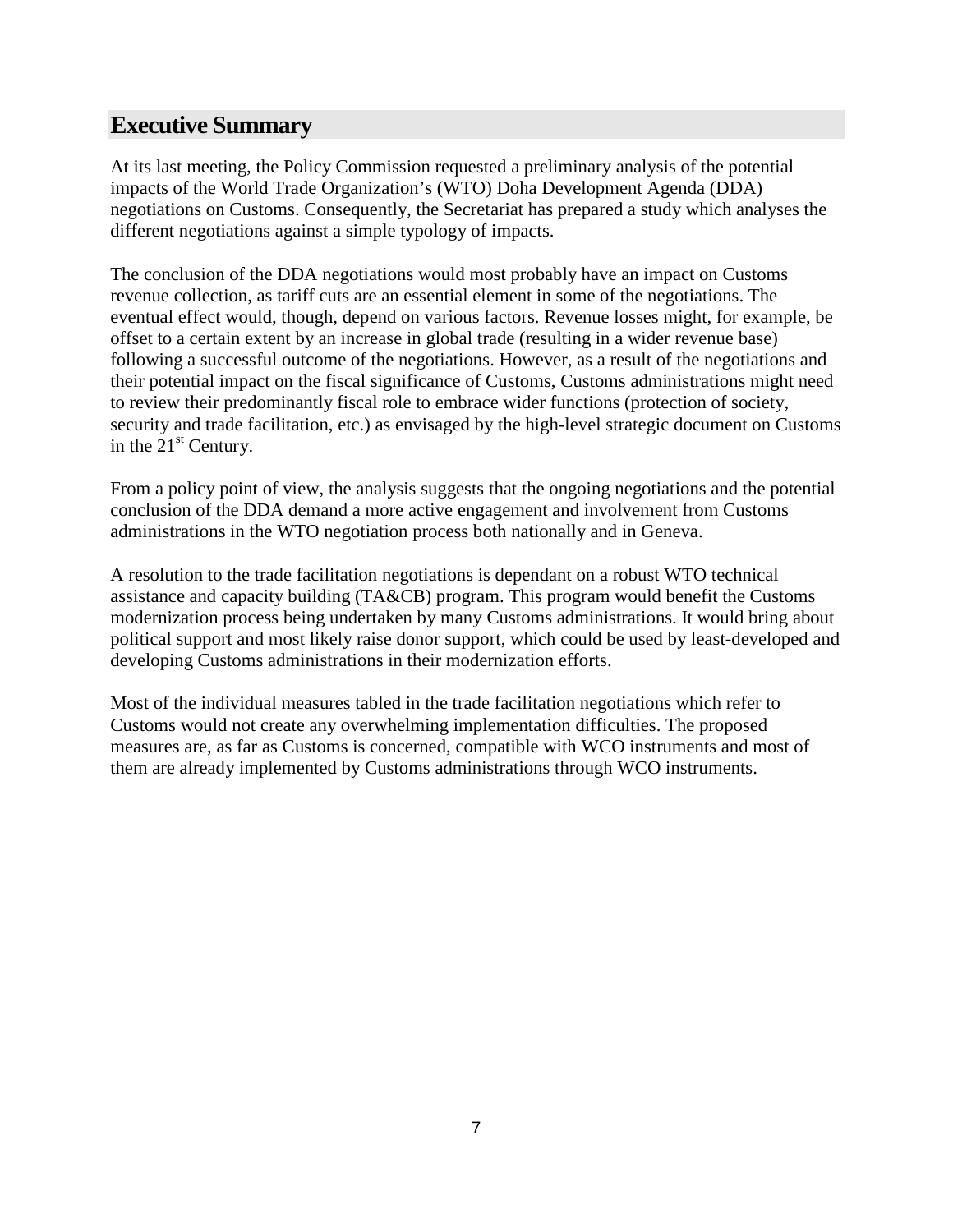## <span id="page-6-0"></span>**Executive Summary**

At its last meeting, the Policy Commission requested a preliminary analysis of the potential impacts of the World Trade Organization's (WTO) Doha Development Agenda (DDA) negotiations on Customs. Consequently, the Secretariat has prepared a study which analyses the different negotiations against a simple typology of impacts.

The conclusion of the DDA negotiations would most probably have an impact on Customs revenue collection, as tariff cuts are an essential element in some of the negotiations. The eventual effect would, though, depend on various factors. Revenue losses might, for example, be offset to a certain extent by an increase in global trade (resulting in a wider revenue base) following a successful outcome of the negotiations. However, as a result of the negotiations and their potential impact on the fiscal significance of Customs, Customs administrations might need to review their predominantly fiscal role to embrace wider functions (protection of society, security and trade facilitation, etc.) as envisaged by the high-level strategic document on Customs in the  $21<sup>st</sup>$  Century.

From a policy point of view, the analysis suggests that the ongoing negotiations and the potential conclusion of the DDA demand a more active engagement and involvement from Customs administrations in the WTO negotiation process both nationally and in Geneva.

A resolution to the trade facilitation negotiations is dependant on a robust WTO technical assistance and capacity building (TA&CB) program. This program would benefit the Customs modernization process being undertaken by many Customs administrations. It would bring about political support and most likely raise donor support, which could be used by least-developed and developing Customs administrations in their modernization efforts.

Most of the individual measures tabled in the trade facilitation negotiations which refer to Customs would not create any overwhelming implementation difficulties. The proposed measures are, as far as Customs is concerned, compatible with WCO instruments and most of them are already implemented by Customs administrations through WCO instruments.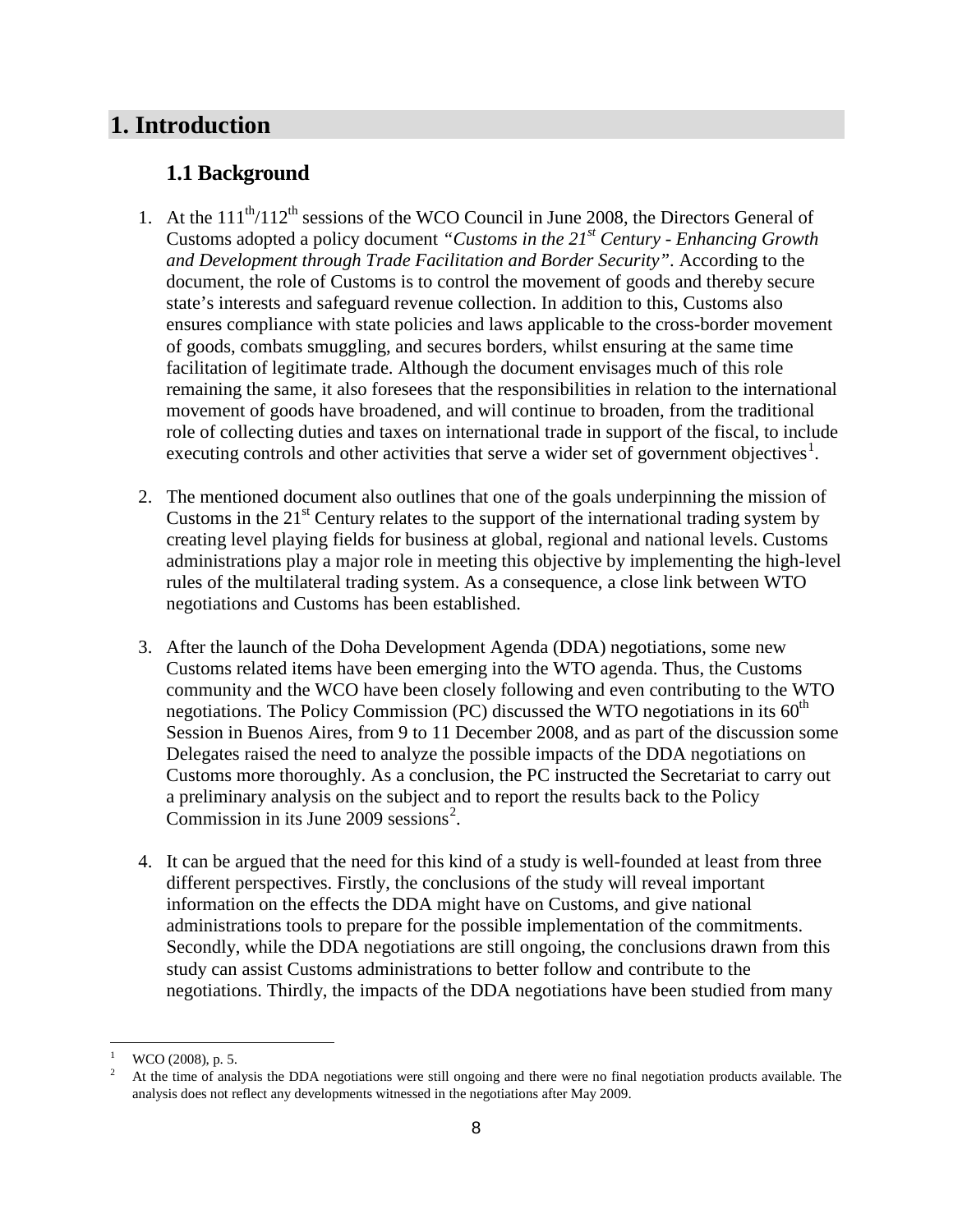## <span id="page-7-0"></span>**1. Introduction**

## <span id="page-7-1"></span>**1.1 Background**

- 1. At the  $111^{th}/112^{th}$  sessions of the WCO Council in June 2008, the Directors General of Customs adopted a policy document *"Customs in the 21st Century - Enhancing Growth and Development through Trade Facilitation and Border Security"*. According to the document, the role of Customs is to control the movement of goods and thereby secure state's interests and safeguard revenue collection. In addition to this, Customs also ensures compliance with state policies and laws applicable to the cross-border movement of goods, combats smuggling, and secures borders, whilst ensuring at the same time facilitation of legitimate trade. Although the document envisages much of this role remaining the same, it also foresees that the responsibilities in relation to the international movement of goods have broadened, and will continue to broaden, from the traditional role of collecting duties and taxes on international trade in support of the fiscal, to include executing controls and other activities that serve a wider set of government objectives<sup>[1](#page-7-2)</sup>.
- 2. The mentioned document also outlines that one of the goals underpinning the mission of Customs in the  $21<sup>st</sup>$  Century relates to the support of the international trading system by creating level playing fields for business at global, regional and national levels. Customs administrations play a major role in meeting this objective by implementing the high-level rules of the multilateral trading system. As a consequence, a close link between WTO negotiations and Customs has been established.
- 3. After the launch of the Doha Development Agenda (DDA) negotiations, some new Customs related items have been emerging into the WTO agenda. Thus, the Customs community and the WCO have been closely following and even contributing to the WTO negotiations. The Policy Commission (PC) discussed the WTO negotiations in its  $60<sup>th</sup>$ Session in Buenos Aires, from 9 to 11 December 2008, and as part of the discussion some Delegates raised the need to analyze the possible impacts of the DDA negotiations on Customs more thoroughly. As a conclusion, the PC instructed the Secretariat to carry out a preliminary analysis on the subject and to report the results back to the Policy Commission in its June 2009 sessions [2](#page-7-3) .
- 4. It can be argued that the need for this kind of a study is well-founded at least from three different perspectives. Firstly, the conclusions of the study will reveal important information on the effects the DDA might have on Customs, and give national administrations tools to prepare for the possible implementation of the commitments. Secondly, while the DDA negotiations are still ongoing, the conclusions drawn from this study can assist Customs administrations to better follow and contribute to the negotiations. Thirdly, the impacts of the DDA negotiations have been studied from many

<span id="page-7-3"></span><span id="page-7-2"></span> $\frac{1}{2}$  WCO (2008), p. 5.

<sup>2</sup> At the time of analysis the DDA negotiations were still ongoing and there were no final negotiation products available. The analysis does not reflect any developments witnessed in the negotiations after May 2009.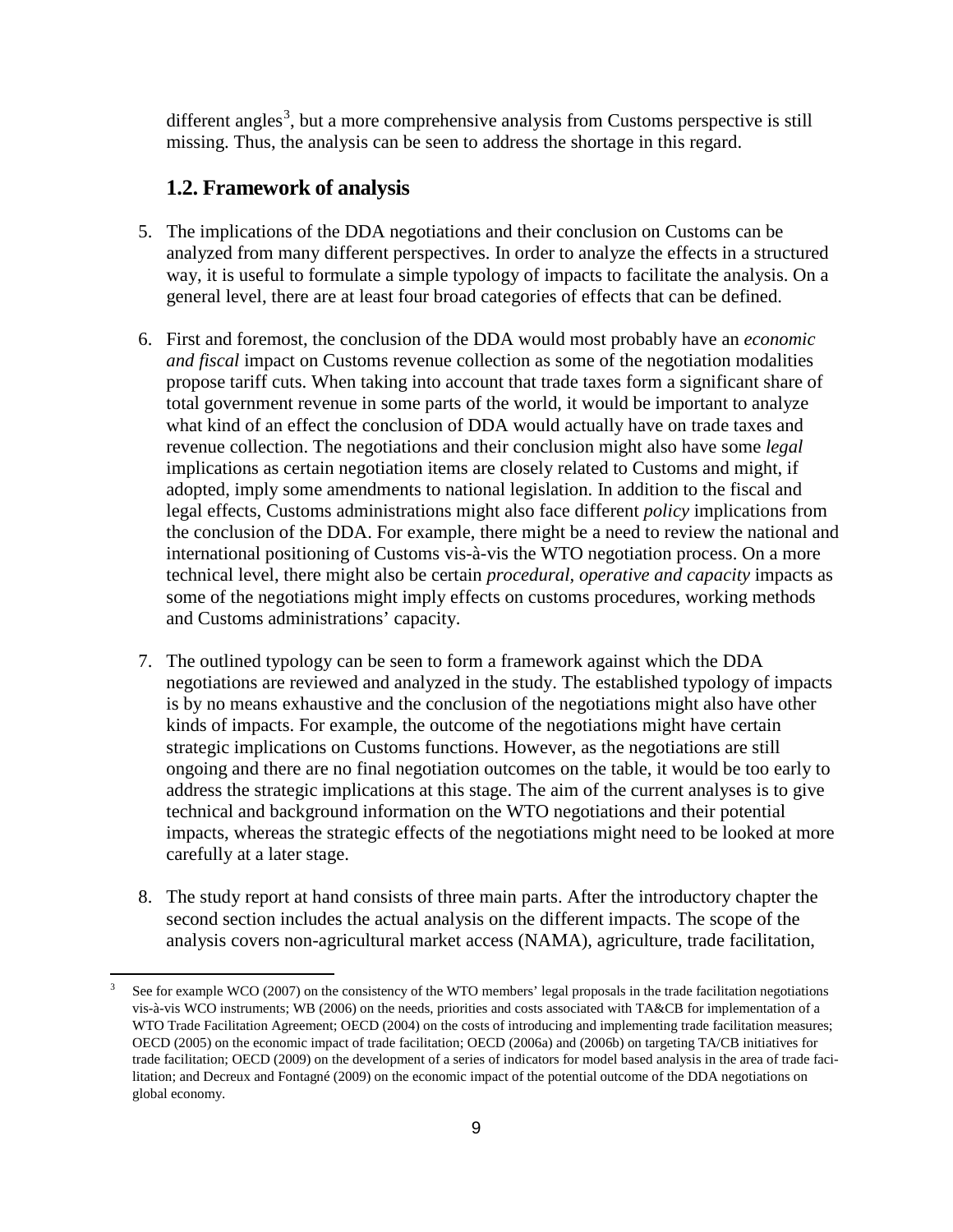different angles<sup>[3](#page-8-1)</sup>, but a more comprehensive analysis from Customs perspective is still missing. Thus, the analysis can be seen to address the shortage in this regard.

## <span id="page-8-0"></span>**1.2. Framework of analysis**

- 5. The implications of the DDA negotiations and their conclusion on Customs can be analyzed from many different perspectives. In order to analyze the effects in a structured way, it is useful to formulate a simple typology of impacts to facilitate the analysis. On a general level, there are at least four broad categories of effects that can be defined.
- 6. First and foremost, the conclusion of the DDA would most probably have an *economic and fiscal* impact on Customs revenue collection as some of the negotiation modalities propose tariff cuts. When taking into account that trade taxes form a significant share of total government revenue in some parts of the world, it would be important to analyze what kind of an effect the conclusion of DDA would actually have on trade taxes and revenue collection. The negotiations and their conclusion might also have some *legal*  implications as certain negotiation items are closely related to Customs and might, if adopted, imply some amendments to national legislation. In addition to the fiscal and legal effects, Customs administrations might also face different *policy* implications from the conclusion of the DDA. For example, there might be a need to review the national and international positioning of Customs vis-à-vis the WTO negotiation process. On a more technical level, there might also be certain *procedural, operative and capacity* impacts as some of the negotiations might imply effects on customs procedures, working methods and Customs administrations' capacity.
- 7. The outlined typology can be seen to form a framework against which the DDA negotiations are reviewed and analyzed in the study. The established typology of impacts is by no means exhaustive and the conclusion of the negotiations might also have other kinds of impacts. For example, the outcome of the negotiations might have certain strategic implications on Customs functions. However, as the negotiations are still ongoing and there are no final negotiation outcomes on the table, it would be too early to address the strategic implications at this stage. The aim of the current analyses is to give technical and background information on the WTO negotiations and their potential impacts, whereas the strategic effects of the negotiations might need to be looked at more carefully at a later stage.
- 8. The study report at hand consists of three main parts. After the introductory chapter the second section includes the actual analysis on the different impacts. The scope of the analysis covers non-agricultural market access (NAMA), agriculture, trade facilitation,

<span id="page-8-1"></span>See for example WCO (2007) on the consistency of the WTO members' legal proposals in the trade facilitation negotiations vis-à-vis WCO instruments; WB (2006) on the needs, priorities and costs associated with TA&CB for implementation of a WTO Trade Facilitation Agreement; OECD (2004) on the costs of introducing and implementing trade facilitation measures; OECD (2005) on the economic impact of trade facilitation; OECD (2006a) and (2006b) on targeting TA/CB initiatives for trade facilitation; OECD (2009) on the development of a series of indicators for model based analysis in the area of trade facilitation; and Decreux and Fontagné (2009) on the economic impact of the potential outcome of the DDA negotiations on global economy.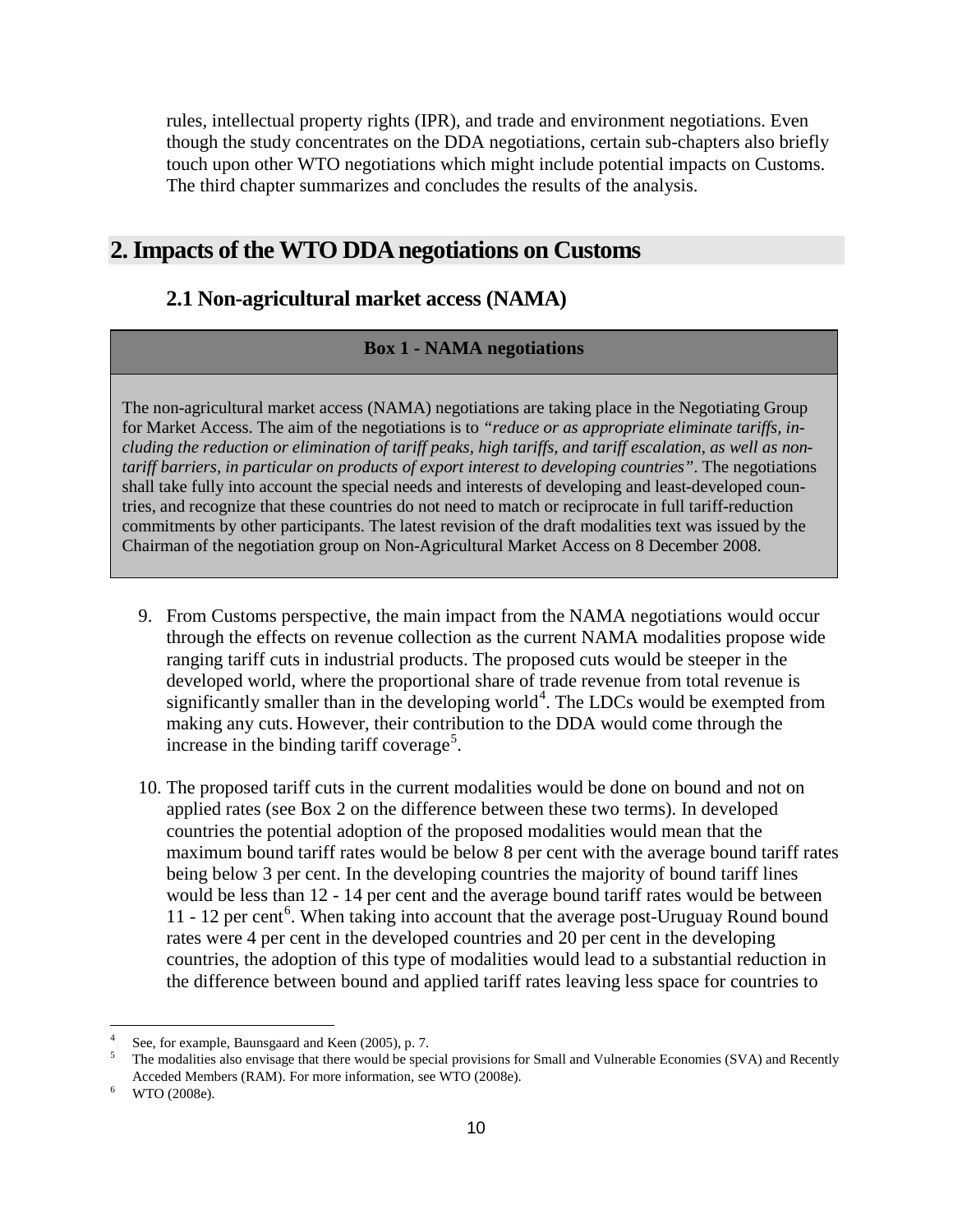rules, intellectual property rights (IPR), and trade and environment negotiations. Even though the study concentrates on the DDA negotiations, certain sub-chapters also briefly touch upon other WTO negotiations which might include potential impacts on Customs. The third chapter summarizes and concludes the results of the analysis.

## <span id="page-9-0"></span>**2. Impacts of the WTO DDA negotiations on Customs**

## <span id="page-9-1"></span>**2.1 Non-agricultural market access (NAMA)**

#### **Box 1 - NAMA negotiations**

The non-agricultural market access (NAMA) negotiations are taking place in the Negotiating Group for Market Access. The aim of the negotiations is to *"reduce or as appropriate eliminate tariffs, including the reduction or elimination of tariff peaks, high tariffs, and tariff escalation, as well as nontariff barriers, in particular on products of export interest to developing countries"*. The negotiations shall take fully into account the special needs and interests of developing and least-developed countries, and recognize that these countries do not need to match or reciprocate in full tariff-reduction commitments by other participants. The latest revision of the draft modalities text was issued by the Chairman of the negotiation group on Non-Agricultural Market Access on 8 December 2008.

- 9. From Customs perspective, the main impact from the NAMA negotiations would occur through the effects on revenue collection as the current NAMA modalities propose wide ranging tariff cuts in industrial products. The proposed cuts would be steeper in the developed world, where the proportional share of trade revenue from total revenue is significantly smaller than in the developing world<sup>[4](#page-9-2)</sup>. The LDCs would be exempted from making any cuts. However, their contribution to the DDA would come through the increase in the binding tariff coverage<sup>[5](#page-9-3)</sup>.
- 10. The proposed tariff cuts in the current modalities would be done on bound and not on applied rates (see Box 2 on the difference between these two terms). In developed countries the potential adoption of the proposed modalities would mean that the maximum bound tariff rates would be below 8 per cent with the average bound tariff rates being below 3 per cent. In the developing countries the majority of bound tariff lines would be less than 12 - 14 per cent and the average bound tariff rates would be between 11 - 12 per cent<sup>[6](#page-9-4)</sup>. When taking into account that the average post-Uruguay Round bound rates were 4 per cent in the developed countries and 20 per cent in the developing countries, the adoption of this type of modalities would lead to a substantial reduction in the difference between bound and applied tariff rates leaving less space for countries to

<span id="page-9-2"></span>See, for example, Baunsgaard and Keen (2005), p. 7.

<span id="page-9-3"></span><sup>5</sup> The modalities also envisage that there would be special provisions for Small and Vulnerable Economies (SVA) and Recently Acceded Members (RAM). For more information, see WTO (2008e).

<span id="page-9-4"></span><sup>6</sup> WTO (2008e).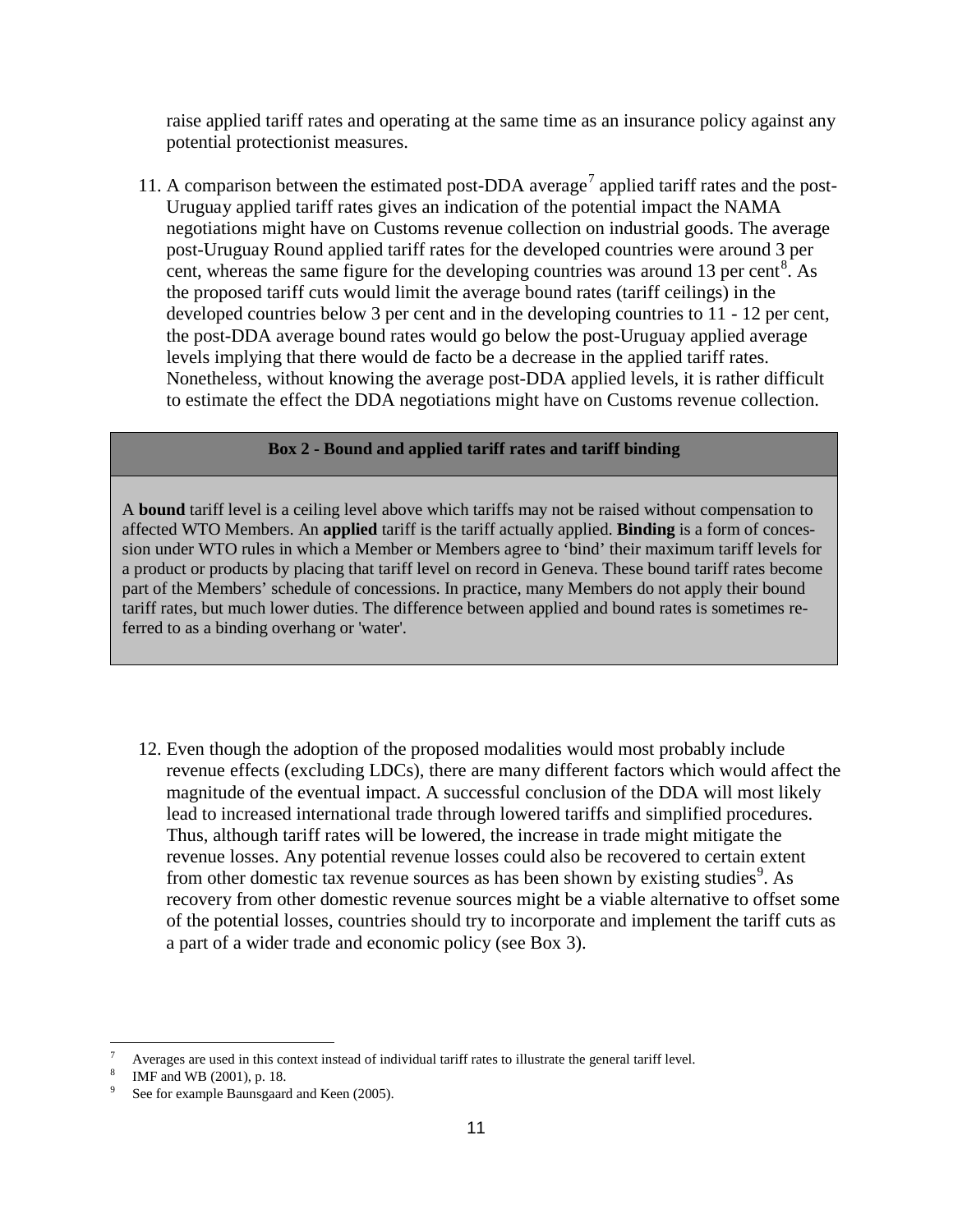raise applied tariff rates and operating at the same time as an insurance policy against any potential protectionist measures.

11. A comparison between the estimated post-DDA average<sup>[7](#page-10-0)</sup> applied tariff rates and the post-Uruguay applied tariff rates gives an indication of the potential impact the NAMA negotiations might have on Customs revenue collection on industrial goods. The average post-Uruguay Round applied tariff rates for the developed countries were around 3 per cent, whereas the same figure for the developing countries was around 13 per cent<sup>[8](#page-10-1)</sup>. As the proposed tariff cuts would limit the average bound rates (tariff ceilings) in the developed countries below 3 per cent and in the developing countries to 11 - 12 per cent, the post-DDA average bound rates would go below the post-Uruguay applied average levels implying that there would de facto be a decrease in the applied tariff rates. Nonetheless, without knowing the average post-DDA applied levels, it is rather difficult to estimate the effect the DDA negotiations might have on Customs revenue collection.

#### **Box 2 - Bound and applied tariff rates and tariff binding**

A **bound** tariff level is a ceiling level above which tariffs may not be raised without compensation to affected WTO Members. An **applied** tariff is the tariff actually applied. **Binding** is a form of concession under WTO rules in which a Member or Members agree to 'bind' their maximum tariff levels for a product or products by placing that tariff level on record in Geneva. These bound tariff rates become part of the Members' schedule of concessions. In practice, many Members do not apply their bound tariff rates, but much lower duties. The difference between applied and bound rates is sometimes referred to as a binding overhang or 'water'.

12. Even though the adoption of the proposed modalities would most probably include revenue effects (excluding LDCs), there are many different factors which would affect the magnitude of the eventual impact. A successful conclusion of the DDA will most likely lead to increased international trade through lowered tariffs and simplified procedures. Thus, although tariff rates will be lowered, the increase in trade might mitigate the revenue losses. Any potential revenue losses could also be recovered to certain extent from other domestic tax revenue sources as has been shown by existing studies<sup>[9](#page-10-2)</sup>. As recovery from other domestic revenue sources might be a viable alternative to offset some of the potential losses, countries should try to incorporate and implement the tariff cuts as a part of a wider trade and economic policy (see Box 3).

<span id="page-10-0"></span> <sup>7</sup> Averages are used in this context instead of individual tariff rates to illustrate the general tariff level.

<span id="page-10-1"></span><sup>8</sup> IMF and WB (2001), p. 18.

<span id="page-10-2"></span>See for example Baunsgaard and Keen (2005).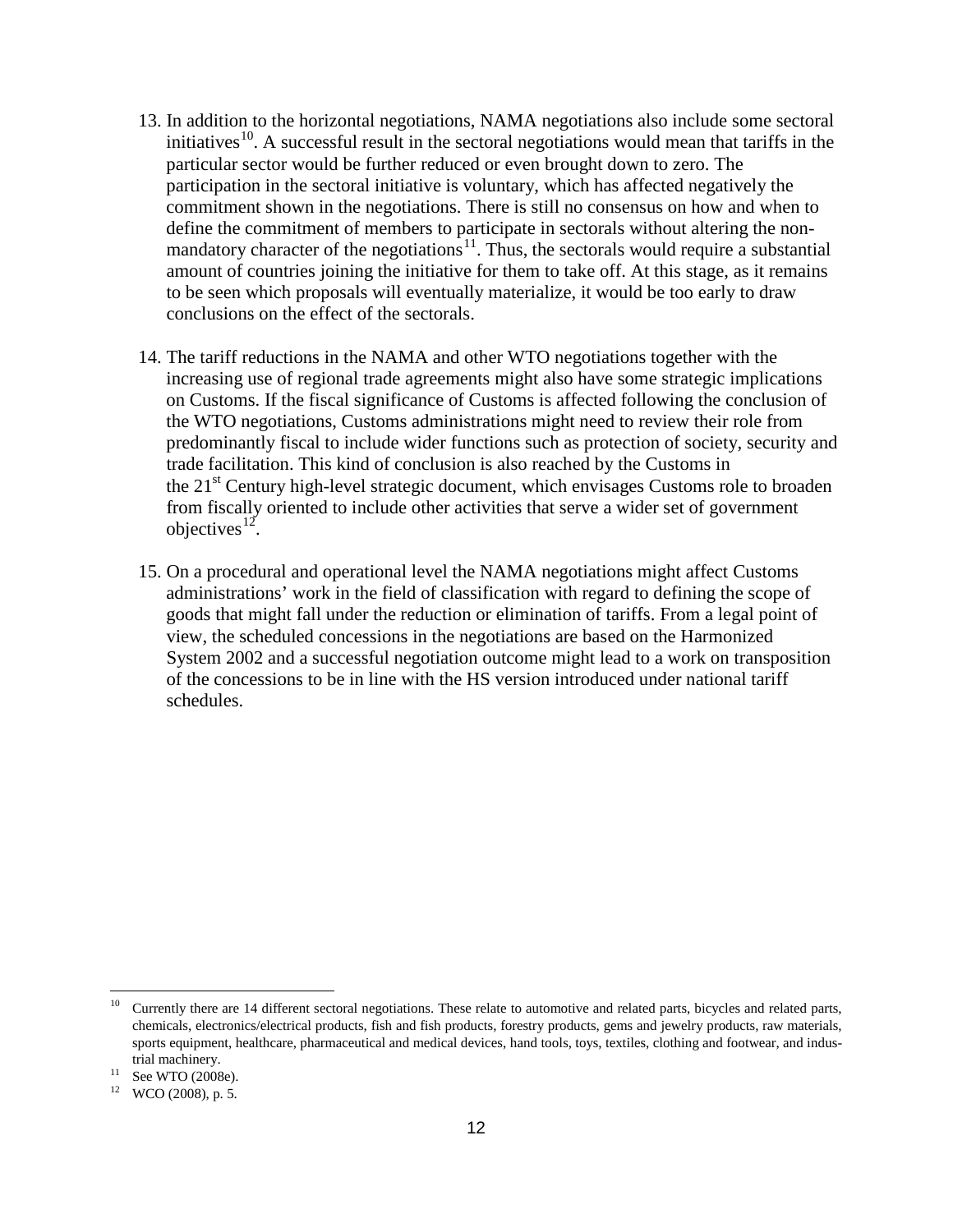- 13. In addition to the horizontal negotiations, NAMA negotiations also include some sectoral initiatives<sup>10</sup>. A successful result in the sectoral negotiations would mean that tariffs in the particular sector would be further reduced or even brought down to zero. The participation in the sectoral initiative is voluntary, which has affected negatively the commitment shown in the negotiations. There is still no consensus on how and when to define the commitment of members to participate in sectorals without altering the non-mandatory character of the negotiations<sup>[11](#page-11-1)</sup>. Thus, the sectorals would require a substantial amount of countries joining the initiative for them to take off. At this stage, as it remains to be seen which proposals will eventually materialize, it would be too early to draw conclusions on the effect of the sectorals.
- 14. The tariff reductions in the NAMA and other WTO negotiations together with the increasing use of regional trade agreements might also have some strategic implications on Customs. If the fiscal significance of Customs is affected following the conclusion of the WTO negotiations, Customs administrations might need to review their role from predominantly fiscal to include wider functions such as protection of society, security and trade facilitation. This kind of conclusion is also reached by the Customs in the 21<sup>st</sup> Century high-level strategic document, which envisages Customs role to broaden from fiscally oriented to include other activities that serve a wider set of government objectives $^{12}$  $^{12}$  $^{12}$ .
- 15. On a procedural and operational level the NAMA negotiations might affect Customs administrations' work in the field of classification with regard to defining the scope of goods that might fall under the reduction or elimination of tariffs. From a legal point of view, the scheduled concessions in the negotiations are based on the Harmonized System 2002 and a successful negotiation outcome might lead to a work on transposition of the concessions to be in line with the HS version introduced under national tariff schedules.

<span id="page-11-0"></span><sup>&</sup>lt;sup>10</sup> Currently there are 14 different sectoral negotiations. These relate to automotive and related parts, bicycles and related parts, chemicals, electronics/electrical products, fish and fish products, forestry products, gems and jewelry products, raw materials, sports equipment, healthcare, pharmaceutical and medical devices, hand tools, toys, textiles, clothing and footwear, and industrial machinery.

 $11$  See WTO (2008e).

<span id="page-11-2"></span><span id="page-11-1"></span><sup>12</sup> WCO (2008), p. 5.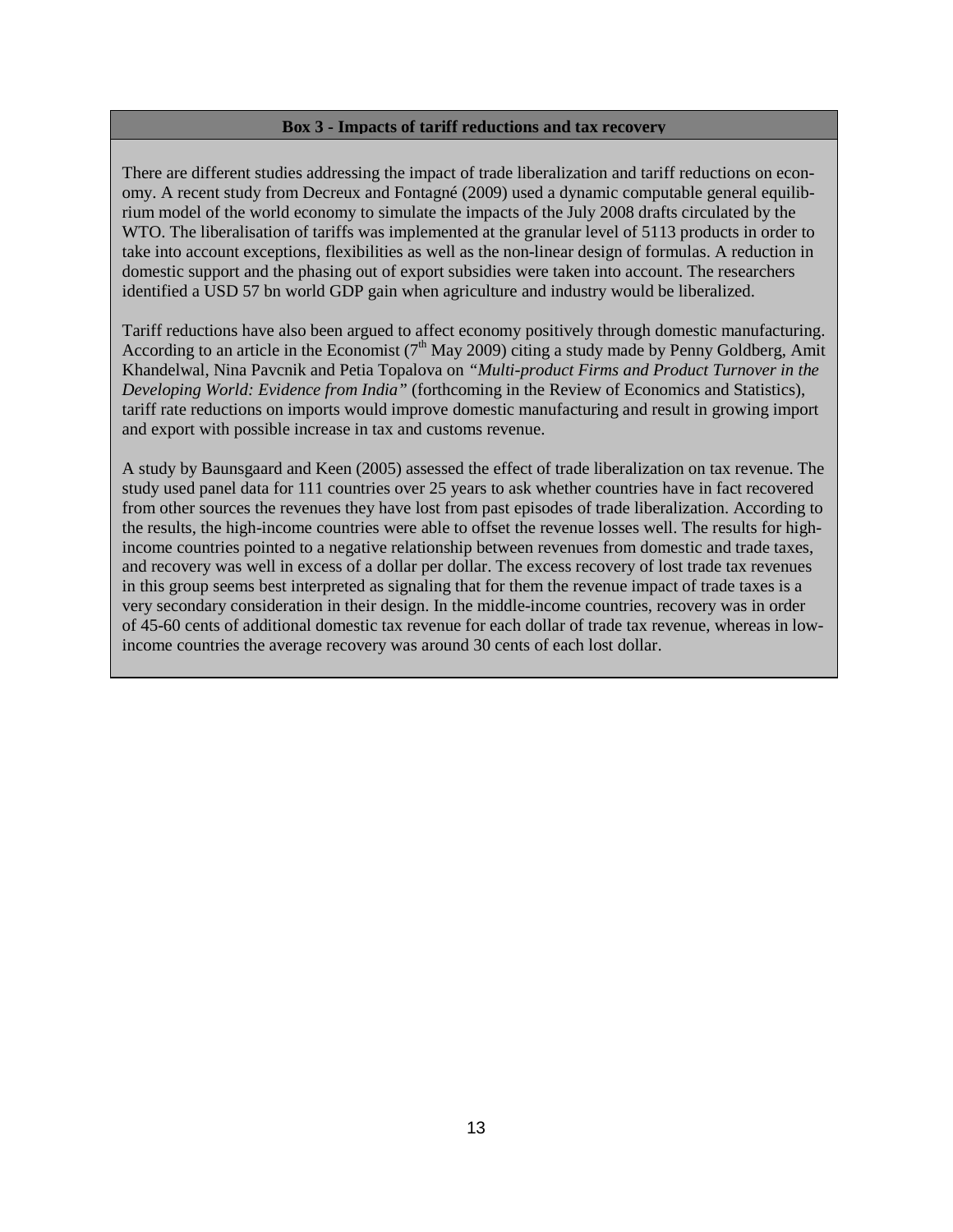#### **Box 3 - Impacts of tariff reductions and tax recovery**

There are different studies addressing the impact of trade liberalization and tariff reductions on economy. A recent study from Decreux and Fontagné (2009) used a dynamic computable general equilibrium model of the world economy to simulate the impacts of the July 2008 drafts circulated by the WTO. The liberalisation of tariffs was implemented at the granular level of 5113 products in order to take into account exceptions, flexibilities as well as the non-linear design of formulas. A reduction in domestic support and the phasing out of export subsidies were taken into account. The researchers identified a USD 57 bn world GDP gain when agriculture and industry would be liberalized.

Tariff reductions have also been argued to affect economy positively through domestic manufacturing. According to an article in the Economist ( $7<sup>th</sup>$  May 2009) citing a study made by Penny Goldberg, Amit Khandelwal, Nina Pavcnik and Petia Topalova on *"Multi-product Firms and Product Turnover in the Developing World: Evidence from India"* (forthcoming in the Review of Economics and Statistics), tariff rate reductions on imports would improve domestic manufacturing and result in growing import and export with possible increase in tax and customs revenue.

<span id="page-12-0"></span>A study by Baunsgaard and Keen (2005) assessed the effect of trade liberalization on tax revenue. The study used panel data for 111 countries over 25 years to ask whether countries have in fact recovered from other sources the revenues they have lost from past episodes of trade liberalization. According to the results, the high-income countries were able to offset the revenue losses well. The results for highincome countries pointed to a negative relationship between revenues from domestic and trade taxes, and recovery was well in excess of a dollar per dollar. The excess recovery of lost trade tax revenues in this group seems best interpreted as signaling that for them the revenue impact of trade taxes is a very secondary consideration in their design. In the middle-income countries, recovery was in order of 45-60 cents of additional domestic tax revenue for each dollar of trade tax revenue, whereas in lowincome countries the average recovery was around 30 cents of each lost dollar.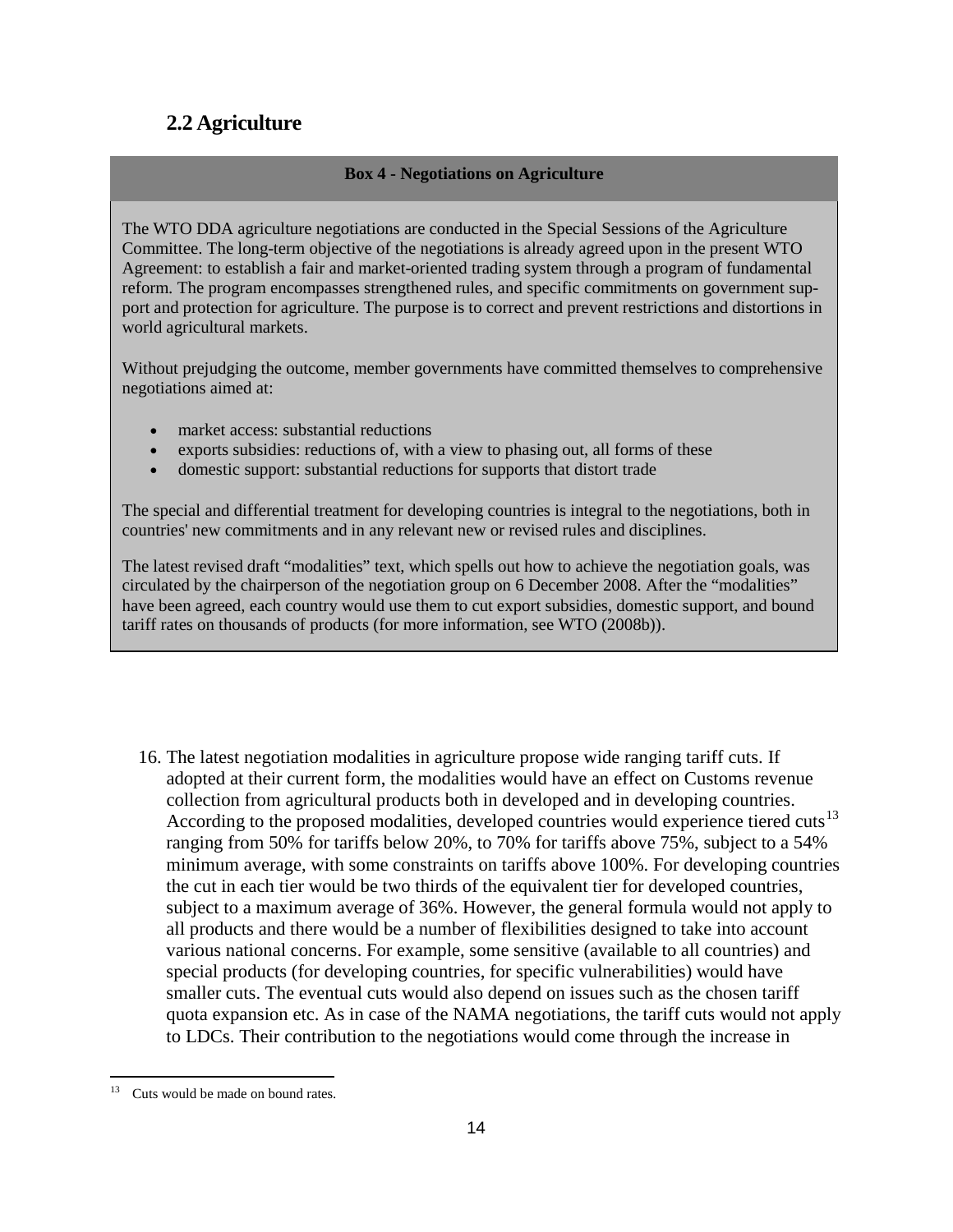## **2.2 Agriculture**

#### **Box 4 - Negotiations on Agriculture**

The WTO DDA agriculture negotiations are conducted in the Special Sessions of the Agriculture Committee. The long-term objective of the negotiations is already agreed upon in the present WTO Agreement: to establish a fair and market-oriented trading system through a program of fundamental reform. The program encompasses strengthened rules, and specific commitments on government support and protection for agriculture. The purpose is to correct and prevent restrictions and distortions in world agricultural markets.

Without prejudging the outcome, member governments have committed themselves to comprehensive negotiations aimed at:

- market access: substantial reductions
- exports subsidies: reductions of, with a view to phasing out, all forms of these
- domestic support: substantial reductions for supports that distort trade

The special and differential treatment for developing countries is integral to the negotiations, both in countries' new commitments and in any relevant new or revised rules and disciplines.

The latest revised draft "modalities" text, which spells out how to achieve the negotiation goals, was circulated by the chairperson of the negotiation group on 6 December 2008. After the "modalities" have been agreed, each country would use them to cut export subsidies, domestic support, and bound tariff rates on thousands of products (for more information, see WTO (2008b)).

16. The latest negotiation modalities in agriculture propose wide ranging tariff cuts. If adopted at their current form, the modalities would have an effect on Customs revenue collection from agricultural products both in developed and in developing countries. According to the proposed modalities, developed countries would experience tiered cuts<sup>[13](#page-13-0)</sup> ranging from 50% for tariffs below 20%, to 70% for tariffs above 75%, subject to a 54% minimum average, with some constraints on tariffs above 100%. For developing countries the cut in each tier would be two thirds of the equivalent tier for developed countries, subject to a maximum average of 36%. However, the general formula would not apply to all products and there would be a number of flexibilities designed to take into account various national concerns. For example, some sensitive (available to all countries) and special products (for developing countries, for specific vulnerabilities) would have smaller cuts. The eventual cuts would also depend on issues such as the chosen tariff quota expansion etc. As in case of the NAMA negotiations, the tariff cuts would not apply to LDCs. Their contribution to the negotiations would come through the increase in

<span id="page-13-0"></span> $13$  Cuts would be made on bound rates.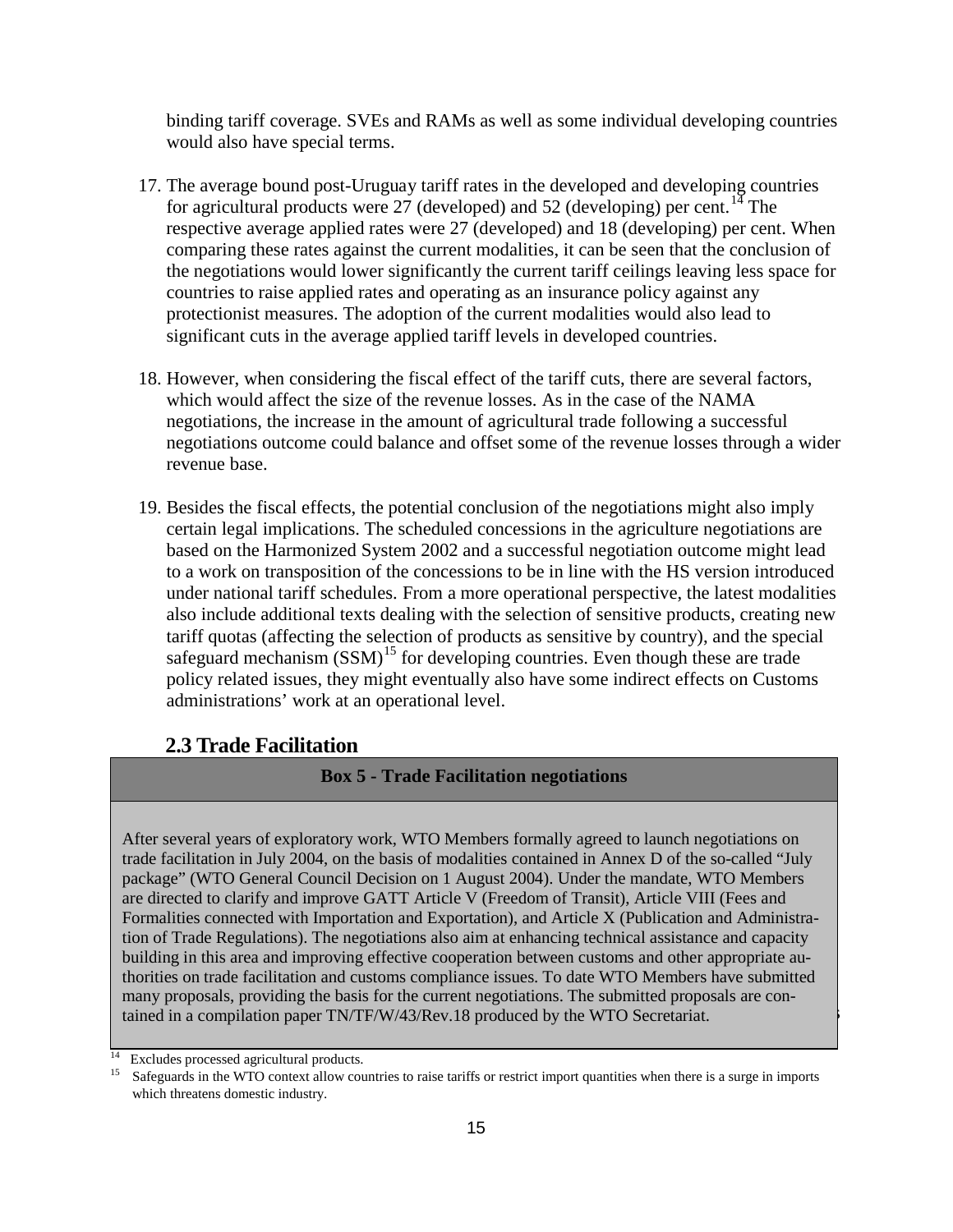binding tariff coverage. SVEs and RAMs as well as some individual developing countries would also have special terms.

- 17. The average bound post-Uruguay tariff rates in the developed and developing countries for agricultural products were 27 (developed) and 52 (developing) per cent.<sup>[14](#page-14-1)</sup> The respective average applied rates were 27 (developed) and 18 (developing) per cent. When comparing these rates against the current modalities, it can be seen that the conclusion of the negotiations would lower significantly the current tariff ceilings leaving less space for countries to raise applied rates and operating as an insurance policy against any protectionist measures. The adoption of the current modalities would also lead to significant cuts in the average applied tariff levels in developed countries.
- 18. However, when considering the fiscal effect of the tariff cuts, there are several factors, which would affect the size of the revenue losses. As in the case of the NAMA negotiations, the increase in the amount of agricultural trade following a successful negotiations outcome could balance and offset some of the revenue losses through a wider revenue base.
- 19. Besides the fiscal effects, the potential conclusion of the negotiations might also imply certain legal implications. The scheduled concessions in the agriculture negotiations are based on the Harmonized System 2002 and a successful negotiation outcome might lead to a work on transposition of the concessions to be in line with the HS version introduced under national tariff schedules. From a more operational perspective, the latest modalities also include additional texts dealing with the selection of sensitive products, creating new tariff quotas (affecting the selection of products as sensitive by country), and the special safeguard mechanism  $(SSM)^{15}$  $(SSM)^{15}$  $(SSM)^{15}$  for developing countries. Even though these are trade policy related issues, they might eventually also have some indirect effects on Customs administrations' work at an operational level.

## <span id="page-14-0"></span>**2.3 Trade Facilitation**

## **Box 5 - Trade Facilitation negotiations**

many proposals, providing the basis for the current negotiations. The submitted proposals are conmany proposals, providing the basis for the earlien negotiations. The submitted proposals are contained in a compilation paper TN/TF/W/43/Rev.18 produced by the WTO Secretariat. After several years of exploratory work, WTO Members formally agreed to launch negotiations on trade facilitation in July 2004, on the basis of modalities contained in Annex D of the so-called "July package" (WTO General Council Decision on 1 August 2004). Under the mandate, WTO Members are directed to clarify and improve GATT Article V (Freedom of Transit), Article VIII (Fees and Formalities connected with Importation and Exportation), and Article X (Publication and Administration of Trade Regulations). The negotiations also aim at enhancing technical assistance and capacity building in this area and improving effective cooperation between customs and other appropriate authorities on trade facilitation and customs compliance issues. To date WTO Members have submitted

<span id="page-14-2"></span><span id="page-14-1"></span><sup>&</sup>lt;sup>14</sup> Excludes processed agricultural products.<br><sup>15</sup> Sefeguerds in the WTO context allow con-

<sup>15</sup> Safeguards in the WTO context allow countries to raise tariffs or restrict import quantities when there is a surge in imports which threatens domestic industry.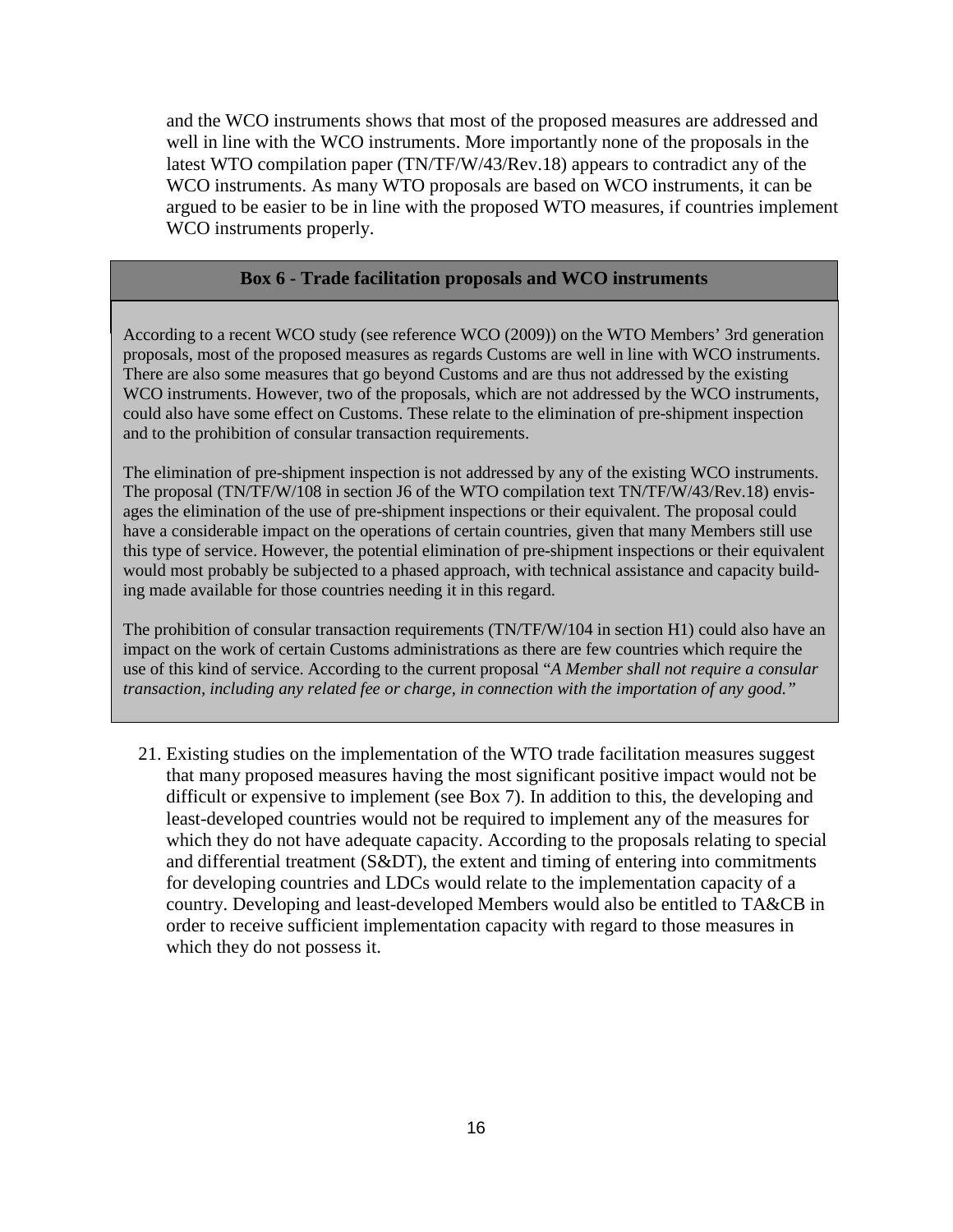and the WCO instruments shows that most of the proposed measures are addressed and well in line with the WCO instruments. More importantly none of the proposals in the latest WTO compilation paper (TN/TF/W/43/Rev.18) appears to contradict any of the WCO instruments. As many WTO proposals are based on WCO instruments, it can be argued to be easier to be in line with the proposed WTO measures, if countries implement WCO instruments properly.

## **Box 6 - Trade facilitation proposals and WCO instruments**

According to a recent WCO study (see reference WCO (2009)) on the WTO Members' 3rd generation proposals, most of the proposed measures as regards Customs are well in line with WCO instruments. There are also some measures that go beyond Customs and are thus not addressed by the existing WCO instruments. However, two of the proposals, which are not addressed by the WCO instruments, could also have some effect on Customs. These relate to the elimination of pre-shipment inspection and to the prohibition of consular transaction requirements.

The elimination of pre-shipment inspection is not addressed by any of the existing WCO instruments. The proposal (TN/TF/W/108 in section J6 of the WTO compilation text TN/TF/W/43/Rev.18) envisages the elimination of the use of pre-shipment inspections or their equivalent. The proposal could have a considerable impact on the operations of certain countries, given that many Members still use this type of service. However, the potential elimination of pre-shipment inspections or their equivalent would most probably be subjected to a phased approach, with technical assistance and capacity building made available for those countries needing it in this regard.

transaction, including any related fee or charge, in connection with the importation of any good." The prohibition of consular transaction requirements (TN/TF/W/104 in section H1) could also have an impact on the work of certain Customs administrations as there are few countries which require the use of this kind of service. According to the current proposal "*A Member shall not require a consular* 

21. Existing studies on the implementation of the WTO trade facilitation measures suggest that many proposed measures having the most significant positive impact would not be difficult or expensive to implement (see Box 7). In addition to this, the developing and least-developed countries would not be required to implement any of the measures for which they do not have adequate capacity. According to the proposals relating to special and differential treatment (S&DT), the extent and timing of entering into commitments for developing countries and LDCs would relate to the implementation capacity of a country. Developing and least-developed Members would also be entitled to TA&CB in order to receive sufficient implementation capacity with regard to those measures in which they do not possess it.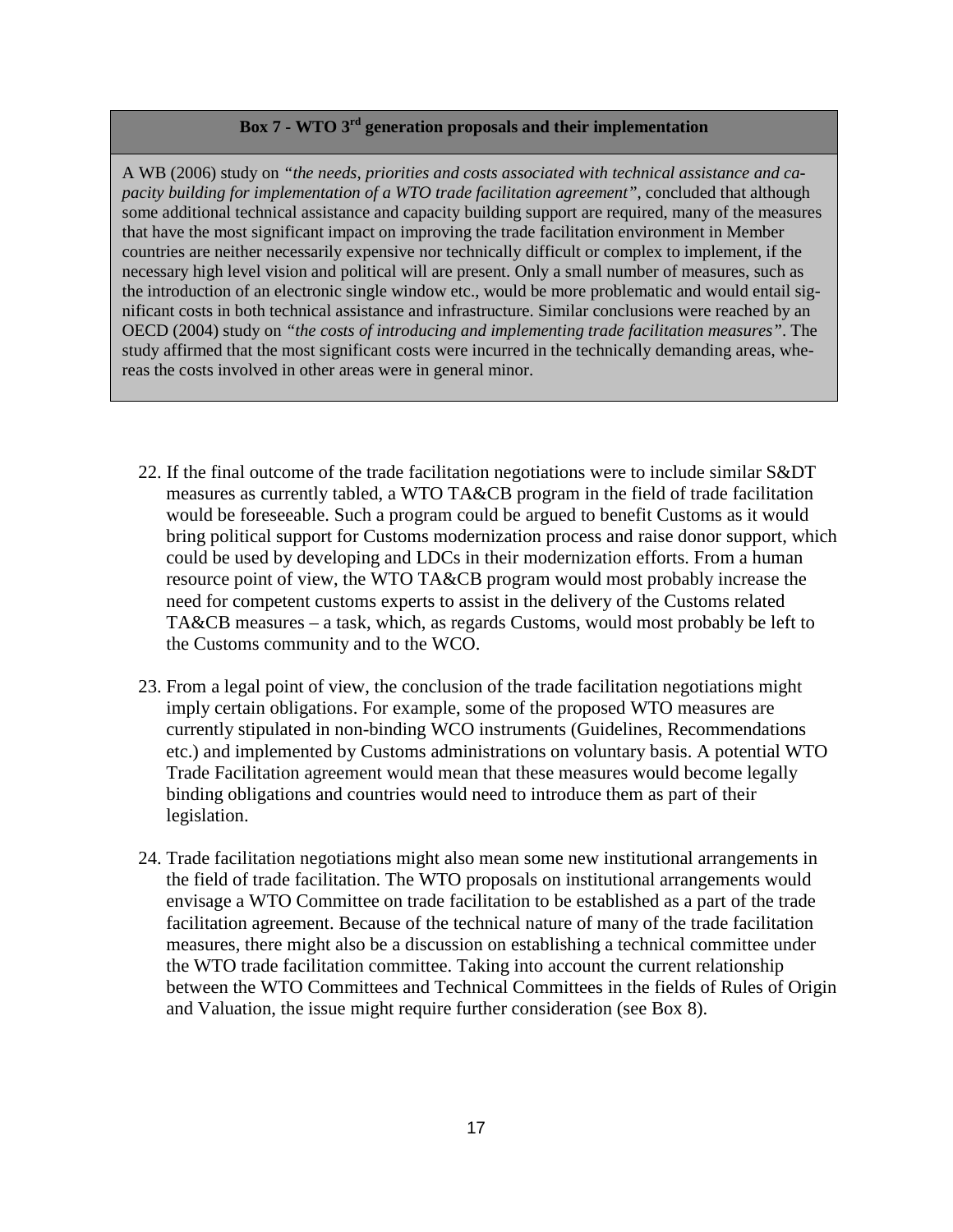## **Box 7 - WTO 3rd generation proposals and their implementation**

A WB (2006) study on *"the needs, priorities and costs associated with technical assistance and capacity building for implementation of a WTO trade facilitation agreement"*, concluded that although some additional technical assistance and capacity building support are required, many of the measures that have the most significant impact on improving the trade facilitation environment in Member countries are neither necessarily expensive nor technically difficult or complex to implement, if the necessary high level vision and political will are present. Only a small number of measures, such as the introduction of an electronic single window etc., would be more problematic and would entail significant costs in both technical assistance and infrastructure. Similar conclusions were reached by an OECD (2004) study on *"the costs of introducing and implementing trade facilitation measures"*. The study affirmed that the most significant costs were incurred in the technically demanding areas, whereas the costs involved in other areas were in general minor.

- 22. If the final outcome of the trade facilitation negotiations were to include similar S&DT measures as currently tabled, a WTO TA&CB program in the field of trade facilitation would be foreseeable. Such a program could be argued to benefit Customs as it would bring political support for Customs modernization process and raise donor support, which could be used by developing and LDCs in their modernization efforts. From a human resource point of view, the WTO TA&CB program would most probably increase the need for competent customs experts to assist in the delivery of the Customs related TA&CB measures – a task, which, as regards Customs, would most probably be left to the Customs community and to the WCO.
- 23. From a legal point of view, the conclusion of the trade facilitation negotiations might imply certain obligations. For example, some of the proposed WTO measures are currently stipulated in non-binding WCO instruments (Guidelines, Recommendations etc.) and implemented by Customs administrations on voluntary basis. A potential WTO Trade Facilitation agreement would mean that these measures would become legally binding obligations and countries would need to introduce them as part of their legislation.
- 24. Trade facilitation negotiations might also mean some new institutional arrangements in the field of trade facilitation. The WTO proposals on institutional arrangements would envisage a WTO Committee on trade facilitation to be established as a part of the trade facilitation agreement. Because of the technical nature of many of the trade facilitation measures, there might also be a discussion on establishing a technical committee under the WTO trade facilitation committee. Taking into account the current relationship between the WTO Committees and Technical Committees in the fields of Rules of Origin and Valuation, the issue might require further consideration (see Box 8).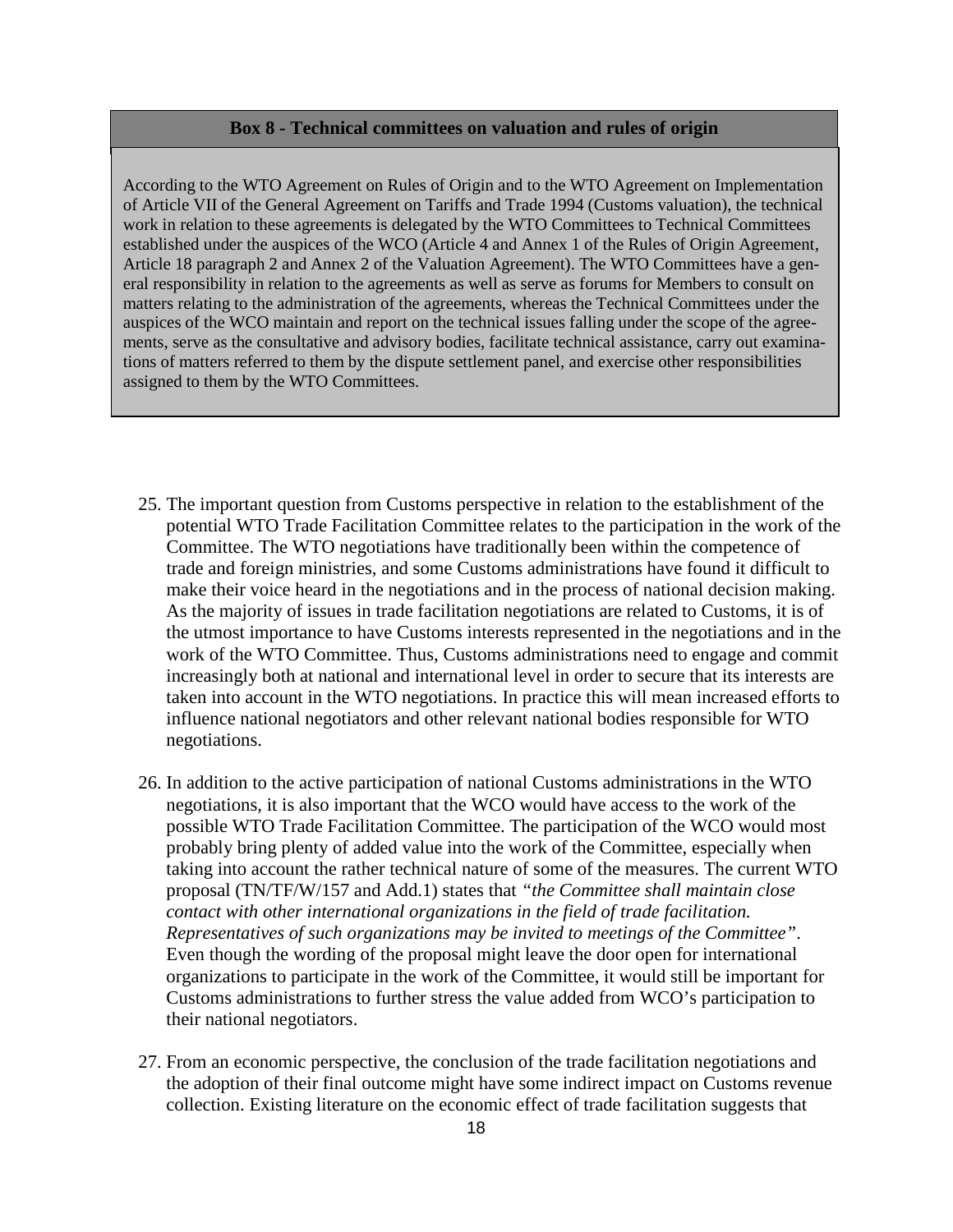#### **Box 8 - Technical committees on valuation and rules of origin**

According to the WTO Agreement on Rules of Origin and to the WTO Agreement on Implementation of Article VII of the General Agreement on Tariffs and Trade 1994 (Customs valuation), the technical work in relation to these agreements is delegated by the WTO Committees to Technical Committees established under the auspices of the WCO (Article 4 and Annex 1 of the Rules of Origin Agreement, Article 18 paragraph 2 and Annex 2 of the Valuation Agreement). The WTO Committees have a general responsibility in relation to the agreements as well as serve as forums for Members to consult on matters relating to the administration of the agreements, whereas the Technical Committees under the auspices of the WCO maintain and report on the technical issues falling under the scope of the agreements, serve as the consultative and advisory bodies, facilitate technical assistance, carry out examinations of matters referred to them by the dispute settlement panel, and exercise other responsibilities assigned to them by the WTO Committees.

- 25. The important question from Customs perspective in relation to the establishment of the potential WTO Trade Facilitation Committee relates to the participation in the work of the Committee. The WTO negotiations have traditionally been within the competence of trade and foreign ministries, and some Customs administrations have found it difficult to make their voice heard in the negotiations and in the process of national decision making. As the majority of issues in trade facilitation negotiations are related to Customs, it is of the utmost importance to have Customs interests represented in the negotiations and in the work of the WTO Committee. Thus, Customs administrations need to engage and commit increasingly both at national and international level in order to secure that its interests are taken into account in the WTO negotiations. In practice this will mean increased efforts to influence national negotiators and other relevant national bodies responsible for WTO negotiations.
- 26. In addition to the active participation of national Customs administrations in the WTO negotiations, it is also important that the WCO would have access to the work of the possible WTO Trade Facilitation Committee. The participation of the WCO would most probably bring plenty of added value into the work of the Committee, especially when taking into account the rather technical nature of some of the measures. The current WTO proposal (TN/TF/W/157 and Add.1) states that *"the Committee shall maintain close contact with other international organizations in the field of trade facilitation. Representatives of such organizations may be invited to meetings of the Committee"*. Even though the wording of the proposal might leave the door open for international organizations to participate in the work of the Committee, it would still be important for Customs administrations to further stress the value added from WCO's participation to their national negotiators.
- 27. From an economic perspective, the conclusion of the trade facilitation negotiations and the adoption of their final outcome might have some indirect impact on Customs revenue collection. Existing literature on the economic effect of trade facilitation suggests that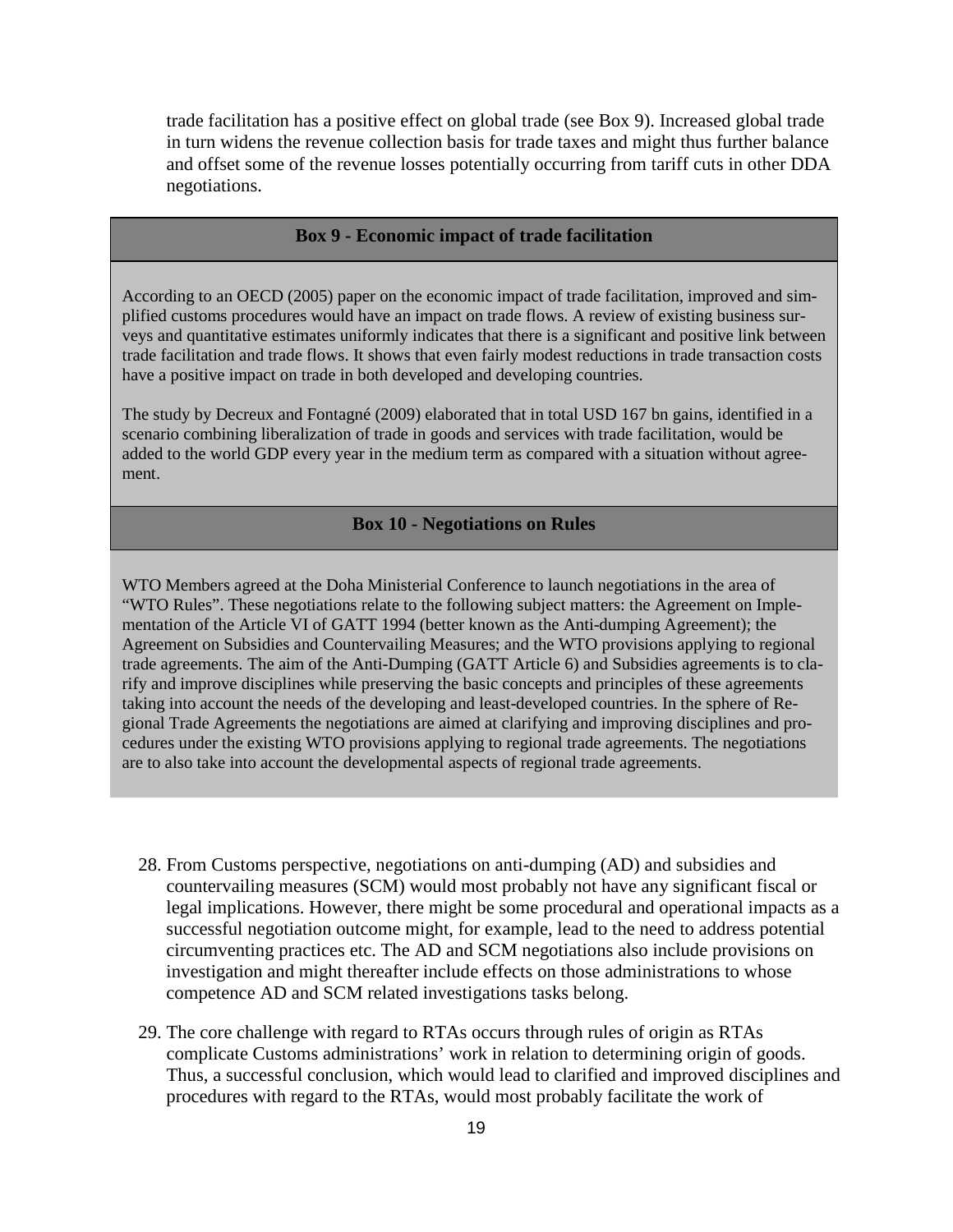trade facilitation has a positive effect on global trade (see Box 9). Increased global trade in turn widens the revenue collection basis for trade taxes and might thus further balance and offset some of the revenue losses potentially occurring from tariff cuts in other DDA negotiations.

#### **Box 9 - Economic impact of trade facilitation**

According to an OECD (2005) paper on the economic impact of trade facilitation, improved and simplified customs procedures would have an impact on trade flows. A review of existing business surveys and quantitative estimates uniformly indicates that there is a significant and positive link between trade facilitation and trade flows. It shows that even fairly modest reductions in trade transaction costs have a positive impact on trade in both developed and developing countries.

<span id="page-18-0"></span>The study by Decreux and Fontagné (2009) elaborated that in total USD 167 bn gains, identified in a scenario combining liberalization of trade in goods and services with trade facilitation, would be added to the world GDP every year in the medium term as compared with a situation without agreement.

#### **Box 10 - Negotiations on Rules**

WTO Members agreed at the Doha Ministerial Conference to launch negotiations in the area of "WTO Rules". These negotiations relate to the following subject matters: the Agreement on Implementation of the Article VI of GATT 1994 (better known as the Anti-dumping Agreement); the Agreement on Subsidies and Countervailing Measures; and the WTO provisions applying to regional trade agreements. The aim of the Anti-Dumping (GATT Article 6) and Subsidies agreements is to clarify and improve disciplines while preserving the basic concepts and principles of these agreements taking into account the needs of the developing and least-developed countries. In the sphere of Regional Trade Agreements the negotiations are aimed at clarifying and improving disciplines and procedures under the existing WTO provisions applying to regional trade agreements. The negotiations are to also take into account the developmental aspects of regional trade agreements.

- 28. From Customs perspective, negotiations on anti-dumping (AD) and subsidies and countervailing measures (SCM) would most probably not have any significant fiscal or legal implications. However, there might be some procedural and operational impacts as a successful negotiation outcome might, for example, lead to the need to address potential circumventing practices etc. The AD and SCM negotiations also include provisions on investigation and might thereafter include effects on those administrations to whose competence AD and SCM related investigations tasks belong.
- 29. The core challenge with regard to RTAs occurs through rules of origin as RTAs complicate Customs administrations' work in relation to determining origin of goods. Thus, a successful conclusion, which would lead to clarified and improved disciplines and procedures with regard to the RTAs, would most probably facilitate the work of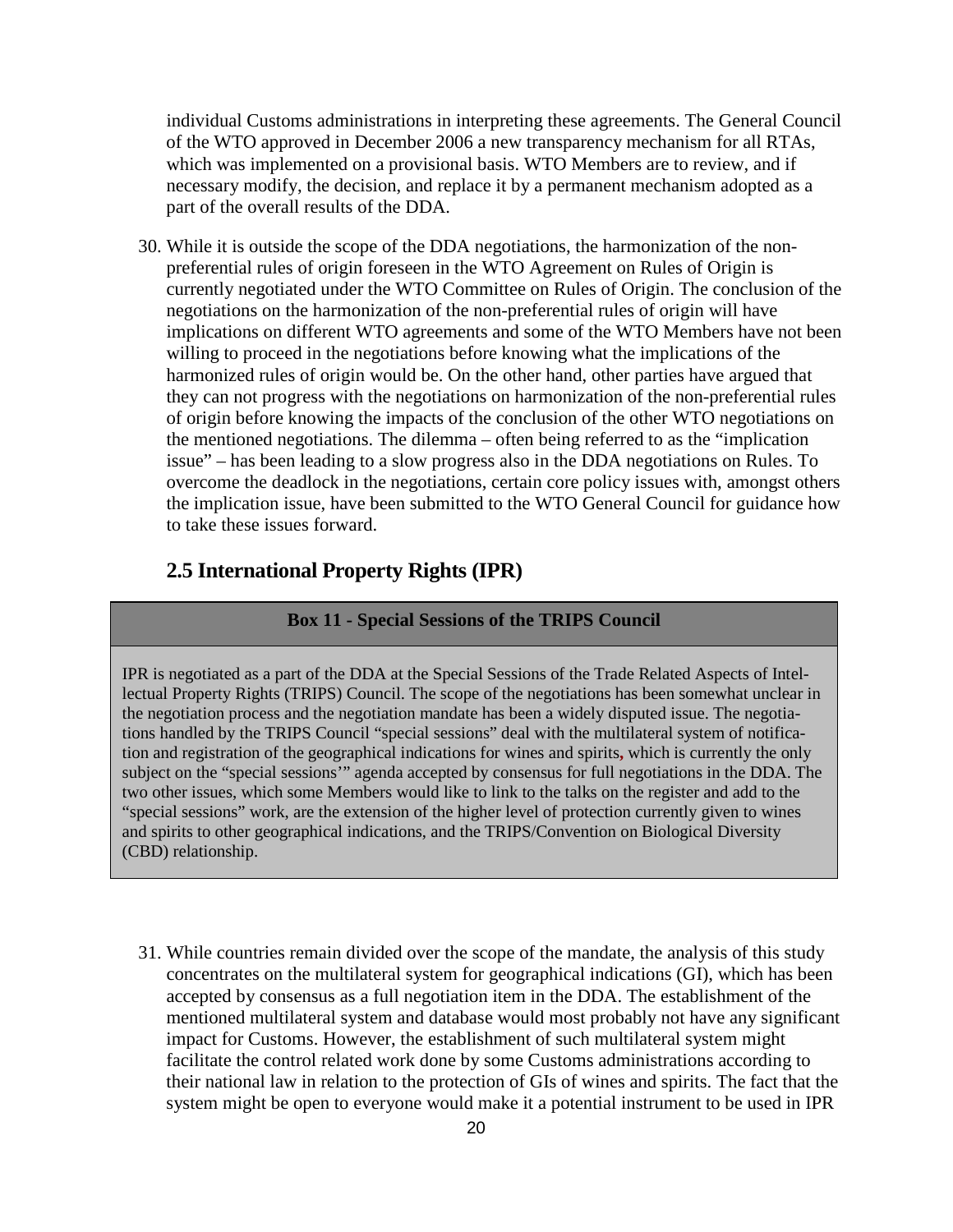individual Customs administrations in interpreting these agreements. The General Council of the WTO approved in December 2006 a new [transparency mechanism](http://docsonline.wto.org/imrd/directdoc.asp?DDFDocuments/t/WT/L/671.doc) for all RTAs, which was implemented on a provisional basis. WTO Members are to review, and if necessary modify, the decision, and replace it by a permanent mechanism adopted as a part of the overall results of the DDA.

30. While it is outside the scope of the DDA negotiations, the harmonization of the nonpreferential rules of origin foreseen in the WTO Agreement on Rules of Origin is currently negotiated under the WTO Committee on Rules of Origin. The conclusion of the negotiations on the harmonization of the non-preferential rules of origin will have implications on different WTO agreements and some of the WTO Members have not been willing to proceed in the negotiations before knowing what the implications of the harmonized rules of origin would be. On the other hand, other parties have argued that they can not progress with the negotiations on harmonization of the non-preferential rules of origin before knowing the impacts of the conclusion of the other WTO negotiations on the mentioned negotiations. The dilemma – often being referred to as the "implication issue" – has been leading to a slow progress also in the DDA negotiations on Rules. To overcome the deadlock in the negotiations, certain core policy issues with, amongst others the implication issue, have been submitted to the WTO General Council for guidance how to take these issues forward.

## <span id="page-19-0"></span>**2.5 International Property Rights (IPR)**

#### **Box 11 - Special Sessions of the TRIPS Council**

IPR is negotiated as a part of the DDA at the Special Sessions of the Trade Related Aspects of Intellectual Property Rights (TRIPS) Council. The scope of the negotiations has been somewhat unclear in the negotiation process and the negotiation mandate has been a widely disputed issue. The negotiations handled by the TRIPS Council "special sessions" deal with the multilateral system of notification and registration of the geographical indications for wines and spirits**,** which is currently the only subject on the "special sessions'" agenda accepted by consensus for full negotiations in the DDA. The two other issues, which some Members would like to link to the talks on the register and add to the "special sessions" work, are the extension of the higher level of protection currently given to wines and spirits to other geographical indications, and the TRIPS/Convention on Biological Diversity (CBD) relationship.

31. While countries remain divided over the scope of the mandate, the analysis of this study concentrates on the multilateral system for geographical indications (GI), which has been accepted by consensus as a full negotiation item in the DDA. The establishment of the mentioned multilateral system and database would most probably not have any significant impact for Customs. However, the establishment of such multilateral system might facilitate the control related work done by some Customs administrations according to their national law in relation to the protection of GIs of wines and spirits. The fact that the system might be open to everyone would make it a potential instrument to be used in IPR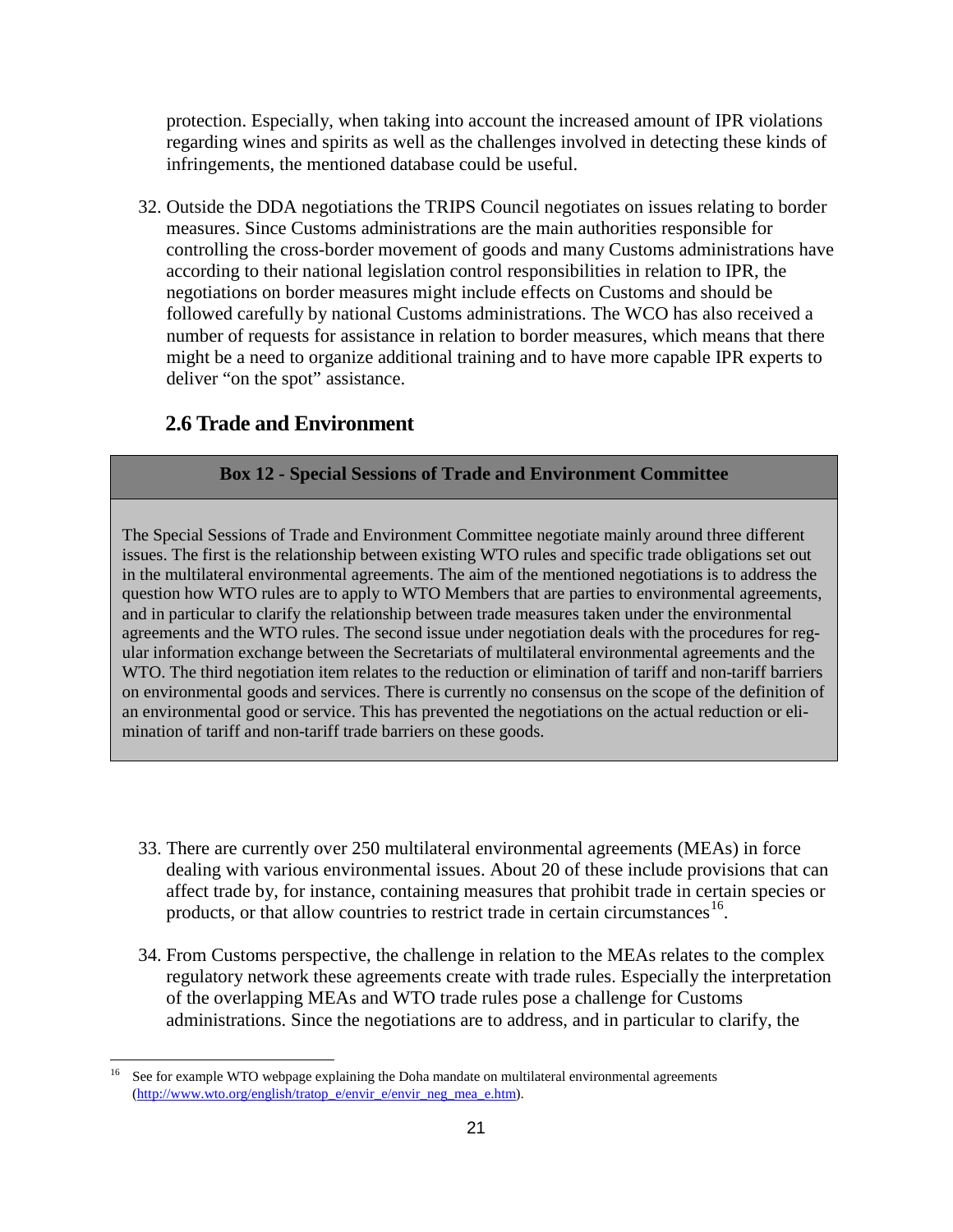protection. Especially, when taking into account the increased amount of IPR violations regarding wines and spirits as well as the challenges involved in detecting these kinds of infringements, the mentioned database could be useful.

32. Outside the DDA negotiations the TRIPS Council negotiates on issues relating to border measures. Since Customs administrations are the main authorities responsible for controlling the cross-border movement of goods and many Customs administrations have according to their national legislation control responsibilities in relation to IPR, the negotiations on border measures might include effects on Customs and should be followed carefully by national Customs administrations. The WCO has also received a number of requests for assistance in relation to border measures, which means that there might be a need to organize additional training and to have more capable IPR experts to deliver "on the spot" assistance.

## <span id="page-20-0"></span>**2.6 Trade and Environment**

## **Box 12 - Special Sessions of Trade and Environment Committee**

The Special Sessions of Trade and Environment Committee negotiate mainly around three different issues. The first is the relationship between existing WTO rules and specific trade obligations set out in the multilateral environmental agreements. The aim of the mentioned negotiations is to address the question how WTO rules are to apply to WTO Members that are parties to environmental agreements, and in particular to clarify the relationship between trade measures taken under the environmental agreements and the WTO rules. The second issue under negotiation deals with the procedures for regular information exchange between the Secretariats of multilateral environmental agreements and the WTO. The third negotiation item relates to the reduction or elimination of tariff and non-tariff barriers on environmental goods and services. There is currently no consensus on the scope of the definition of an environmental good or service. This has prevented the negotiations on the actual reduction or elimination of tariff and non-tariff trade barriers on these goods.

- 33. There are currently over 250 multilateral environmental agreements (MEAs) in force dealing with various environmental issues. About 20 of these include provisions that can affect trade by, for instance, containing measures that prohibit trade in certain species or products, or that allow countries to restrict trade in certain circumstances<sup>[16](#page-20-1)</sup>.
- 34. From Customs perspective, the challenge in relation to the MEAs relates to the complex regulatory network these agreements create with trade rules. Especially the interpretation of the overlapping MEAs and WTO trade rules pose a challenge for Customs administrations. Since the negotiations are to address, and in particular to clarify, the

<span id="page-20-1"></span><sup>&</sup>lt;sup>16</sup> See for example WTO webpage explaining the Doha mandate on multilateral environmental agreements [\(http://www.wto.org/english/tratop\\_e/envir\\_e/envir\\_neg\\_mea\\_e.htm\)](http://www.wto.org/english/tratop_e/envir_e/envir_neg_mea_e.htm).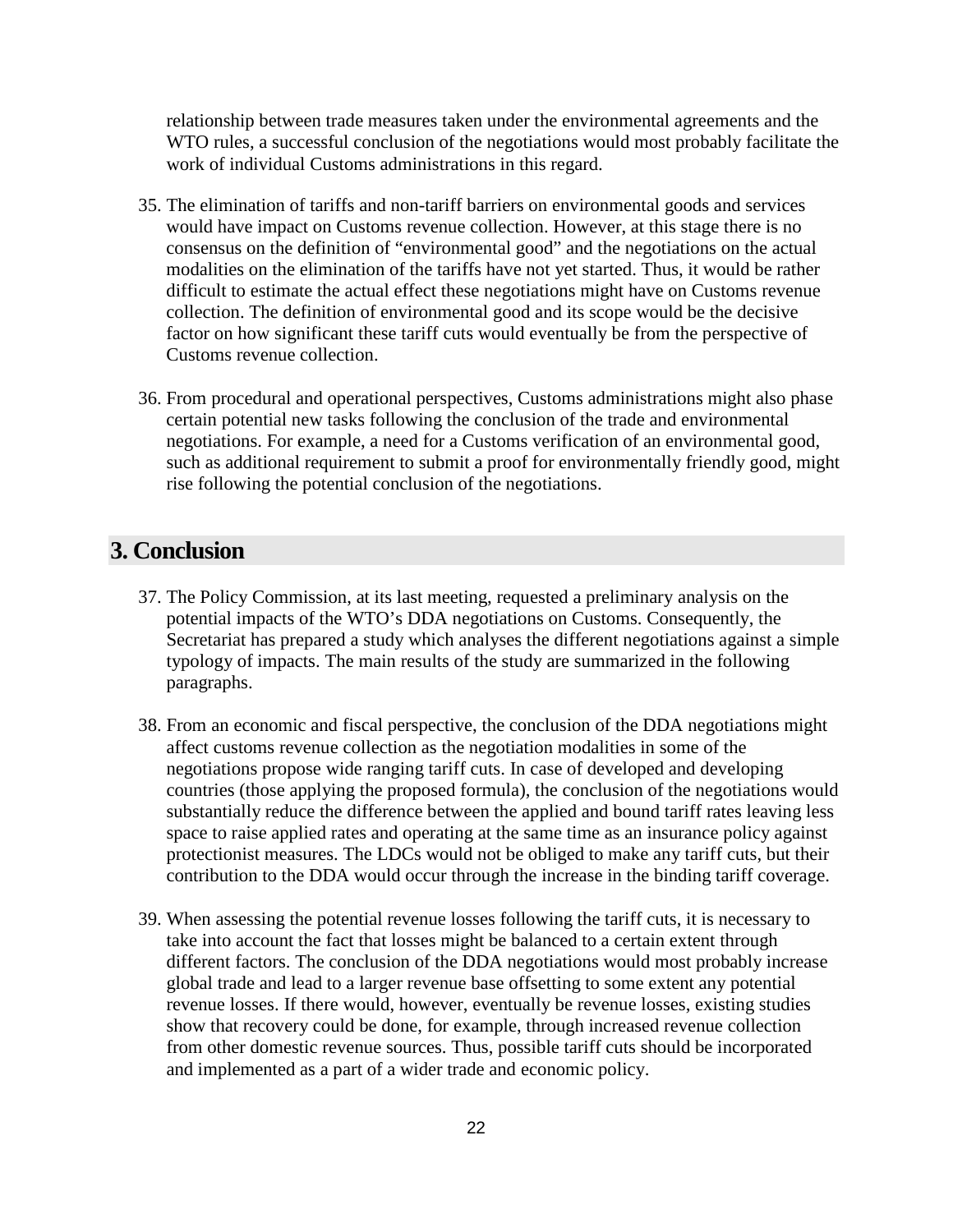relationship between trade measures taken under the environmental agreements and the WTO rules, a successful conclusion of the negotiations would most probably facilitate the work of individual Customs administrations in this regard.

- 35. The elimination of tariffs and non-tariff barriers on environmental goods and services would have impact on Customs revenue collection. However, at this stage there is no consensus on the definition of "environmental good" and the negotiations on the actual modalities on the elimination of the tariffs have not yet started. Thus, it would be rather difficult to estimate the actual effect these negotiations might have on Customs revenue collection. The definition of environmental good and its scope would be the decisive factor on how significant these tariff cuts would eventually be from the perspective of Customs revenue collection.
- 36. From procedural and operational perspectives, Customs administrations might also phase certain potential new tasks following the conclusion of the trade and environmental negotiations. For example, a need for a Customs verification of an environmental good, such as additional requirement to submit a proof for environmentally friendly good, might rise following the potential conclusion of the negotiations.

## <span id="page-21-0"></span>**3. Conclusion**

- 37. The Policy Commission, at its last meeting, requested a preliminary analysis on the potential impacts of the WTO's DDA negotiations on Customs. Consequently, the Secretariat has prepared a study which analyses the different negotiations against a simple typology of impacts. The main results of the study are summarized in the following paragraphs.
- 38. From an economic and fiscal perspective, the conclusion of the DDA negotiations might affect customs revenue collection as the negotiation modalities in some of the negotiations propose wide ranging tariff cuts. In case of developed and developing countries (those applying the proposed formula), the conclusion of the negotiations would substantially reduce the difference between the applied and bound tariff rates leaving less space to raise applied rates and operating at the same time as an insurance policy against protectionist measures. The LDCs would not be obliged to make any tariff cuts, but their contribution to the DDA would occur through the increase in the binding tariff coverage.
- 39. When assessing the potential revenue losses following the tariff cuts, it is necessary to take into account the fact that losses might be balanced to a certain extent through different factors. The conclusion of the DDA negotiations would most probably increase global trade and lead to a larger revenue base offsetting to some extent any potential revenue losses. If there would, however, eventually be revenue losses, existing studies show that recovery could be done, for example, through increased revenue collection from other domestic revenue sources. Thus, possible tariff cuts should be incorporated and implemented as a part of a wider trade and economic policy.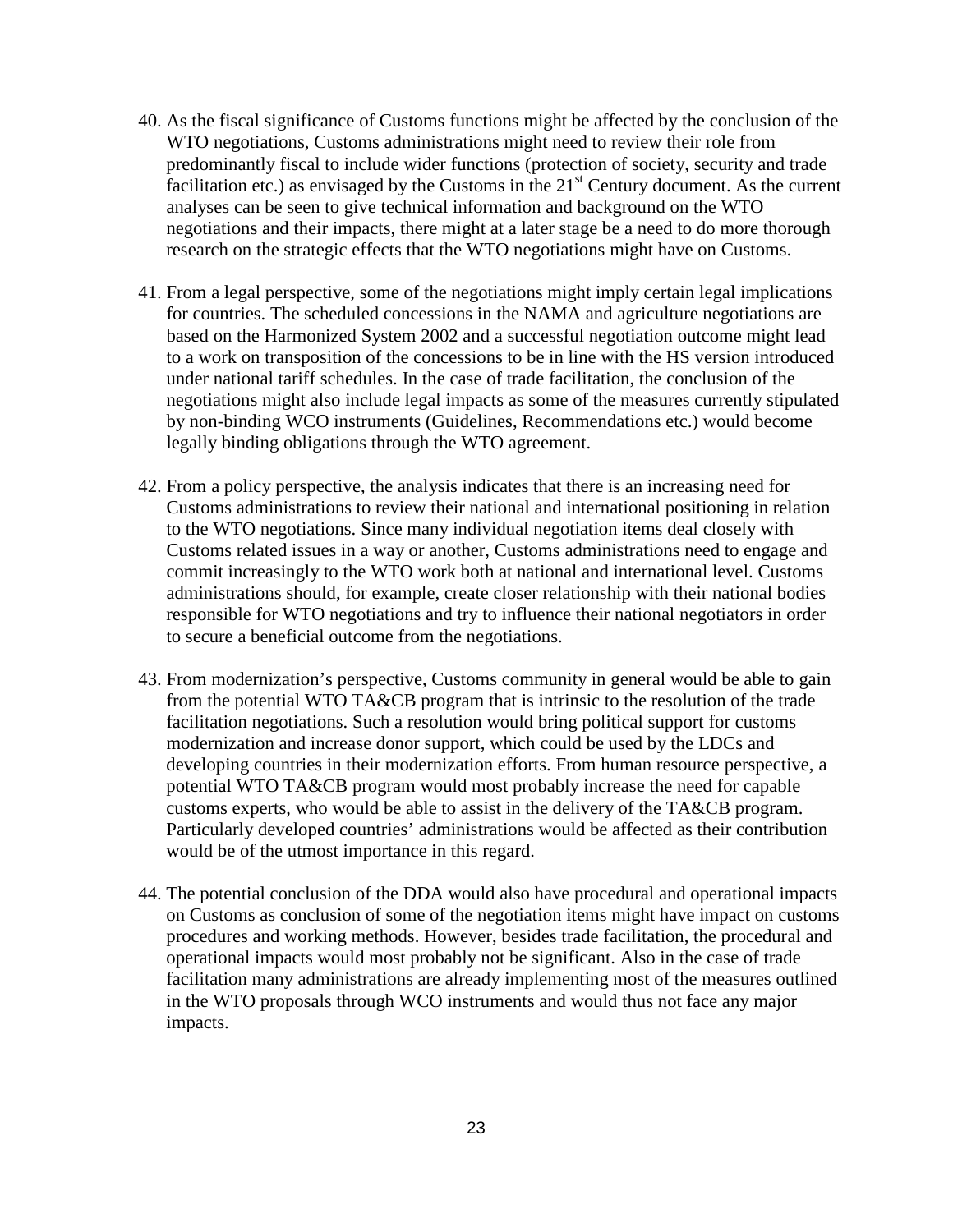- 40. As the fiscal significance of Customs functions might be affected by the conclusion of the WTO negotiations, Customs administrations might need to review their role from predominantly fiscal to include wider functions (protection of society, security and trade facilitation etc.) as envisaged by the Customs in the  $21<sup>st</sup>$  Century document. As the current analyses can be seen to give technical information and background on the WTO negotiations and their impacts, there might at a later stage be a need to do more thorough research on the strategic effects that the WTO negotiations might have on Customs.
- 41. From a legal perspective, some of the negotiations might imply certain legal implications for countries. The scheduled concessions in the NAMA and agriculture negotiations are based on the Harmonized System 2002 and a successful negotiation outcome might lead to a work on transposition of the concessions to be in line with the HS version introduced under national tariff schedules. In the case of trade facilitation, the conclusion of the negotiations might also include legal impacts as some of the measures currently stipulated by non-binding WCO instruments (Guidelines, Recommendations etc.) would become legally binding obligations through the WTO agreement.
- 42. From a policy perspective, the analysis indicates that there is an increasing need for Customs administrations to review their national and international positioning in relation to the WTO negotiations. Since many individual negotiation items deal closely with Customs related issues in a way or another, Customs administrations need to engage and commit increasingly to the WTO work both at national and international level. Customs administrations should, for example, create closer relationship with their national bodies responsible for WTO negotiations and try to influence their national negotiators in order to secure a beneficial outcome from the negotiations.
- 43. From modernization's perspective, Customs community in general would be able to gain from the potential WTO TA&CB program that is intrinsic to the resolution of the trade facilitation negotiations. Such a resolution would bring political support for customs modernization and increase donor support, which could be used by the LDCs and developing countries in their modernization efforts. From human resource perspective, a potential WTO TA&CB program would most probably increase the need for capable customs experts, who would be able to assist in the delivery of the TA&CB program. Particularly developed countries' administrations would be affected as their contribution would be of the utmost importance in this regard.
- 44. The potential conclusion of the DDA would also have procedural and operational impacts on Customs as conclusion of some of the negotiation items might have impact on customs procedures and working methods. However, besides trade facilitation, the procedural and operational impacts would most probably not be significant. Also in the case of trade facilitation many administrations are already implementing most of the measures outlined in the WTO proposals through WCO instruments and would thus not face any major impacts.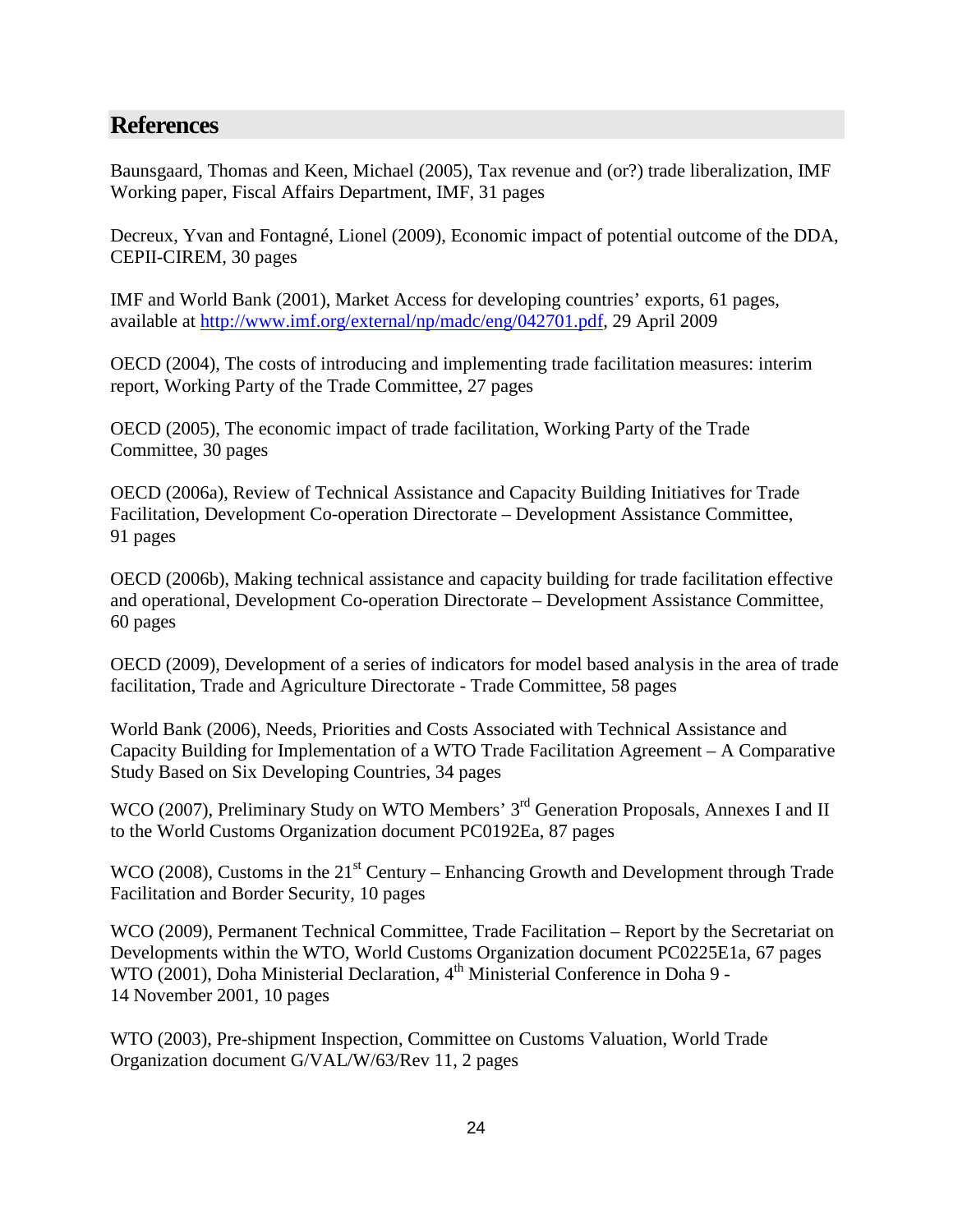## <span id="page-23-0"></span>**References**

Baunsgaard, Thomas and Keen, Michael (2005), Tax revenue and (or?) trade liberalization, IMF Working paper, Fiscal Affairs Department, IMF, 31 pages

Decreux, Yvan and Fontagné, Lionel (2009), Economic impact of potential outcome of the DDA, CEPII-CIREM, 30 pages

IMF and World Bank (2001), Market Access for developing countries' exports, 61 pages, available at [http://www.imf.org/external/np/madc/eng/042701.pdf,](http://www.imf.org/external/np/madc/eng/042701.pdf) 29 April 2009

OECD (2004), The costs of introducing and implementing trade facilitation measures: interim report, Working Party of the Trade Committee, 27 pages

OECD (2005), The economic impact of trade facilitation, Working Party of the Trade Committee, 30 pages

OECD (2006a), Review of Technical Assistance and Capacity Building Initiatives for Trade Facilitation, Development Co-operation Directorate – Development Assistance Committee, 91 pages

OECD (2006b), Making technical assistance and capacity building for trade facilitation effective and operational, Development Co-operation Directorate – Development Assistance Committee, 60 pages

OECD (2009), Development of a series of indicators for model based analysis in the area of trade facilitation, Trade and Agriculture Directorate - Trade Committee, 58 pages

World Bank (2006), Needs, Priorities and Costs Associated with Technical Assistance and Capacity Building for Implementation of a WTO Trade Facilitation Agreement – A Comparative Study Based on Six Developing Countries, 34 pages

WCO (2007), Preliminary Study on WTO Members' 3<sup>rd</sup> Generation Proposals, Annexes I and II to the World Customs Organization document PC0192Ea, 87 pages

WCO (2008), Customs in the  $21<sup>st</sup>$  Century – Enhancing Growth and Development through Trade Facilitation and Border Security, 10 pages

WCO (2009), Permanent Technical Committee, Trade Facilitation – Report by the Secretariat on Developments within the WTO, World Customs Organization document PC0225E1a, 67 pages WTO (2001), Doha Ministerial Declaration, 4<sup>th</sup> Ministerial Conference in Doha 9 -14 November 2001, 10 pages

WTO (2003), Pre-shipment Inspection, Committee on Customs Valuation, World Trade Organization document G/VAL/W/63/Rev 11, 2 pages